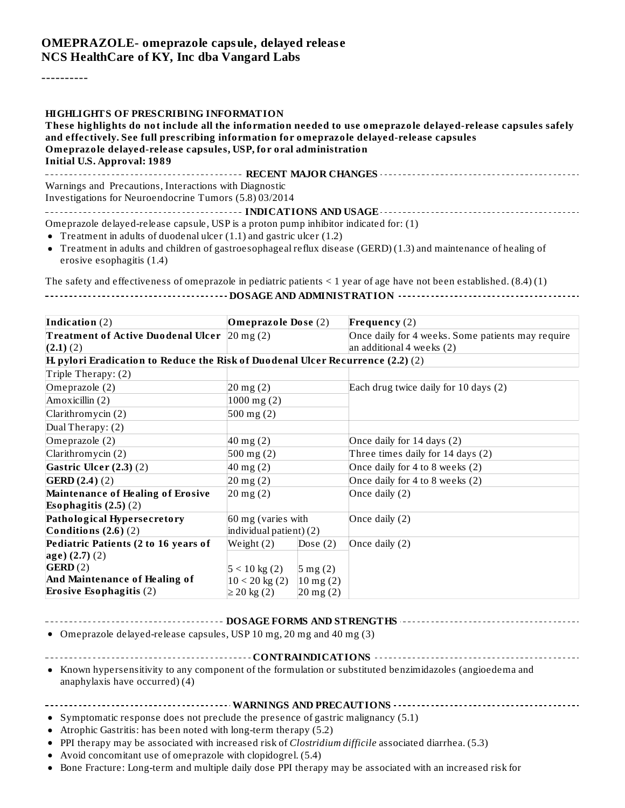#### **OMEPRAZOLE- omeprazole capsule, delayed releas e NCS HealthCare of KY, Inc dba Vangard Labs**

----------

#### **HIGHLIGHTS OF PRESCRIBING INFORMATION**

**These highlights do not include all the information needed to use omeprazole delayed-release capsules safely and effectively. See full prescribing information for omeprazole delayed-release capsules Omeprazole delayed-release capsules, USP, for oral administration Initial U.S. Approval: 1989 RECENT MAJOR CHANGES** Warnings and Precautions, Interactions with Diagnostic

Investigations for Neuroendocrine Tumors (5.8) 03/2014

**INDICATIONS AND USAGE**

Omeprazole delayed-release capsule, USP is a proton pump inhibitor indicated for: (1)

- Treatment in adults of duodenal ulcer (1.1) and gastric ulcer (1.2)
- Treatment in adults and children of gastroesophageal reflux disease (GERD) (1.3) and maintenance of healing of erosive esophagitis (1.4)

The safety and effectiveness of omeprazole in pediatric patients  $\leq 1$  year of age have not been established.  $(8.4)(1)$ 

|--|

| Indication (2)                                                                     | <b>Omeprazole Dose (2)</b> |                     | Frequency $(2)$                                   |  |
|------------------------------------------------------------------------------------|----------------------------|---------------------|---------------------------------------------------|--|
| Treatment of Active Duodenal Ulcer $ 20 \text{ mg}(2) $                            |                            |                     | Once daily for 4 weeks. Some patients may require |  |
| $(2.1)$ $(2)$                                                                      |                            |                     | an additional 4 weeks (2)                         |  |
| $H$ , pylori Eradication to Reduce the Risk of Duodenal Ulcer Recurrence (2.2) (2) |                            |                     |                                                   |  |
| Triple Therapy: (2)                                                                |                            |                     |                                                   |  |
| Omeprazole (2)                                                                     | $20$ mg $(2)$              |                     | Each drug twice daily for 10 days (2)             |  |
| Amoxicillin (2)                                                                    | $1000$ mg $(2)$            |                     |                                                   |  |
| Clarithromycin (2)                                                                 | $500$ mg $(2)$             |                     |                                                   |  |
| Dual Therapy: (2)                                                                  |                            |                     |                                                   |  |
| Omeprazole (2)                                                                     | $40$ mg $(2)$              |                     | Once daily for 14 days (2)                        |  |
| Clarithromycin (2)                                                                 | $500$ mg $(2)$             |                     | Three times daily for 14 days (2)                 |  |
| Gastric Ulcer $(2.3)$ $(2)$                                                        | $40$ mg $(2)$              |                     | Once daily for 4 to 8 weeks (2)                   |  |
| GERD(2.4) (2)                                                                      | $20$ mg $(2)$              |                     | Once daily for 4 to 8 weeks (2)                   |  |
| <b>Maintenance of Healing of Erosive</b>                                           | $20$ mg $(2)$              |                     | Once daily (2)                                    |  |
| Esophagitis $(2.5)(2)$                                                             |                            |                     |                                                   |  |
| Pathological Hypersecretory                                                        | 60 mg (varies with         |                     | Once daily (2)                                    |  |
| Conditions $(2.6)$ $(2)$                                                           | individual patient) (2)    |                     |                                                   |  |
| Pediatric Patients (2 to 16 years of                                               | Weight $(2)$<br>Dose $(2)$ |                     | Once daily (2)                                    |  |
| $\log(e)$ (2.7) (2)                                                                |                            |                     |                                                   |  |
| GERD(2)                                                                            | $5 < 10 \text{ kg} (2)$    | $5 \text{ mg} (2)$  |                                                   |  |
| And Maintenance of Healing of                                                      | $10 < 20$ kg (2)           | $10 \text{ mg} (2)$ |                                                   |  |
| <b>Erosive Esophagitis (2)</b>                                                     | ≥ 20 kg(2)                 | $20$ mg $(2)$       |                                                   |  |

#### **DOSAGE FORMS AND STRENGTHS**

Omeprazole delayed-release capsules, USP 10 mg, 20 mg and 40 mg (3)

Known hypersensitivity to any component of the formulation or substituted benzimidazoles (angioedema and anaphylaxis have occurred) (4)

#### **WARNINGS AND PRECAUTIONS**

- Symptomatic response does not preclude the presence of gastric malignancy (5.1)
- Atrophic Gastritis: has been noted with long-term therapy (5.2)
- PPI therapy may be associated with increased risk of *Clostridium difficile* associated diarrhea. (5.3)
- Avoid concomitant use of omeprazole with clopidogrel. (5.4)
- Bone Fracture: Long-term and multiple daily dose PPI therapy may be associated with an increased risk for

**CONTRAINDICATIONS**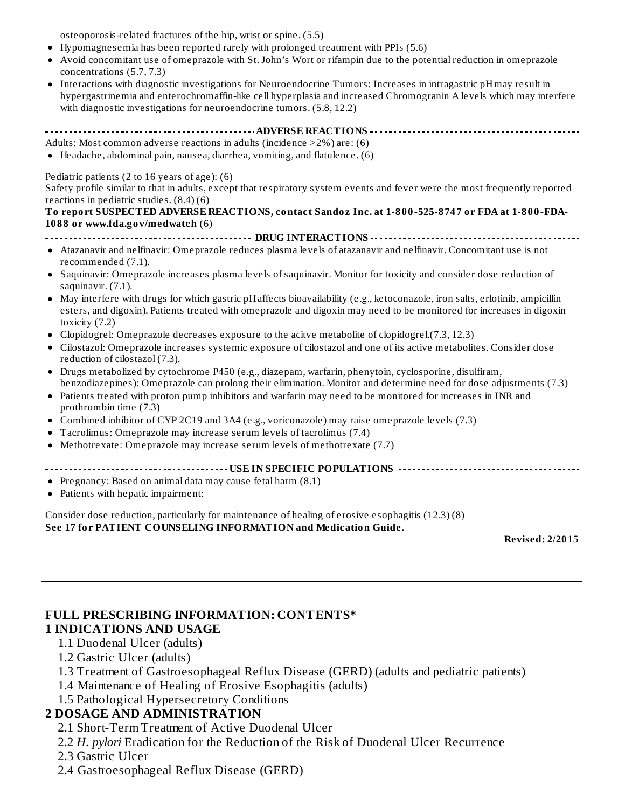osteoporosis-related fractures of the hip, wrist or spine. (5.5)

- Hypomagnesemia has been reported rarely with prolonged treatment with PPIs (5.6)
- Avoid concomitant use of omeprazole with St. John's Wort or rifampin due to the potential reduction in omeprazole concentrations (5.7, 7.3)
- Interactions with diagnostic investigations for Neuroendocrine Tumors: Increases in intragastric pHmay result in hypergastrinemia and enterochromaffin-like cell hyperplasia and increased Chromogranin A levels which may interfere with diagnostic investigations for neuroendocrine tumors. (5.8, 12.2)

**ADVERSE REACTIONS**

Adults: Most common adverse reactions in adults (incidence >2%) are: (6)

Headache, abdominal pain, nausea, diarrhea, vomiting, and flatulence. (6)

#### Pediatric patients (2 to 16 years of age): (6)

Safety profile similar to that in adults, except that respiratory system events and fever were the most frequently reported reactions in pediatric studies. (8.4) (6)

#### **To report SUSPECTED ADVERSE REACTIONS, contact Sandoz Inc. at 1-800-525-8747 or FDA at 1-800-FDA-1088 or www.fda.gov/medwatch** (6)

**DRUG INTERACTIONS**

- Atazanavir and nelfinavir: Omeprazole reduces plasma levels of atazanavir and nelfinavir. Concomitant use is not recommended (7.1).
- Saquinavir: Omeprazole increases plasma levels of saquinavir. Monitor for toxicity and consider dose reduction of saquinavir. (7.1).
- May interfere with drugs for which gastric pHaffects bioavailability (e.g., ketoconazole, iron salts, erlotinib, ampicillin esters, and digoxin). Patients treated with omeprazole and digoxin may need to be monitored for increases in digoxin toxicity (7.2)
- Clopidogrel: Omeprazole decreases exposure to the acitve metabolite of clopidogrel.(7.3, 12.3)
- Cilostazol: Omeprazole increases systemic exposure of cilostazol and one of its active metabolites. Consider dose reduction of cilostazol (7.3).
- Drugs metabolized by cytochrome P450 (e.g., diazepam, warfarin, phenytoin, cyclosporine, disulfiram, benzodiazepines): Omeprazole can prolong their elimination. Monitor and determine need for dose adjustments (7.3)
- Patients treated with proton pump inhibitors and warfarin may need to be monitored for increases in INR and prothrombin time (7.3)
- Combined inhibitor of CYP 2C19 and 3A4 (e.g., voriconazole) may raise omeprazole levels (7.3)
- Tacrolimus: Omeprazole may increase serum levels of tacrolimus (7.4)
- Methotrexate: Omeprazole may increase serum levels of methotrexate (7.7)

**USE IN SPECIFIC POPULATIONS**

- Pregnancy: Based on animal data may cause fetal harm (8.1)
- Patients with hepatic impairment:

Consider dose reduction, particularly for maintenance of healing of erosive esophagitis (12.3) (8) **See 17 for PATIENT COUNSELING INFORMATION and Medication Guide.**

**Revised: 2/2015**

#### **FULL PRESCRIBING INFORMATION: CONTENTS\* 1 INDICATIONS AND USAGE**

- 1.1 Duodenal Ulcer (adults)
- 1.2 Gastric Ulcer (adults)
- 1.3 Treatment of Gastroesophageal Reflux Disease (GERD) (adults and pediatric patients)
- 1.4 Maintenance of Healing of Erosive Esophagitis (adults)
- 1.5 Pathological Hypersecretory Conditions

## **2 DOSAGE AND ADMINISTRATION**

- 2.1 Short-Term Treatment of Active Duodenal Ulcer
- 2.2 *H. pylori* Eradication for the Reduction of the Risk of Duodenal Ulcer Recurrence
- 2.3 Gastric Ulcer
- 2.4 Gastroesophageal Reflux Disease (GERD)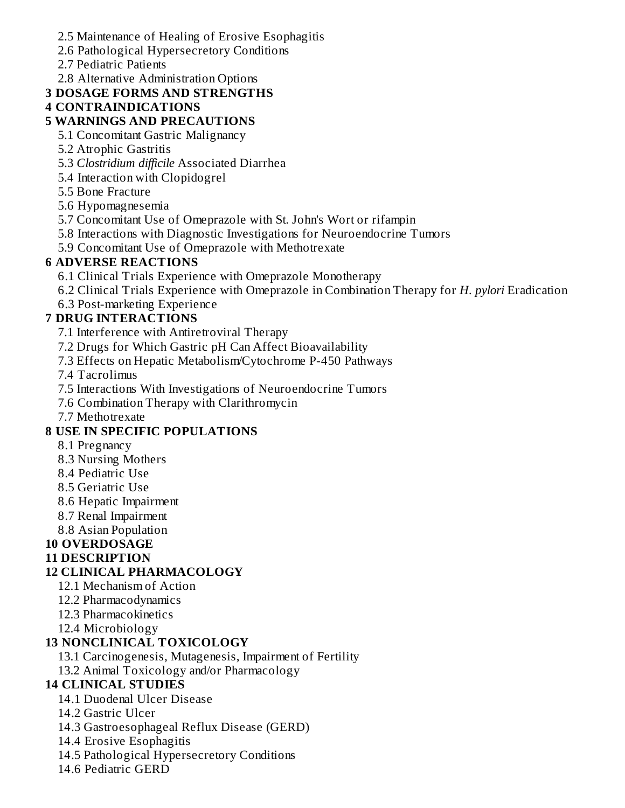- 2.5 Maintenance of Healing of Erosive Esophagitis
- 2.6 Pathological Hypersecretory Conditions
- 2.7 Pediatric Patients
- 2.8 Alternative Administration Options

# **3 DOSAGE FORMS AND STRENGTHS**

# **4 CONTRAINDICATIONS**

## **5 WARNINGS AND PRECAUTIONS**

- 5.1 Concomitant Gastric Malignancy
- 5.2 Atrophic Gastritis
- 5.3 *Clostridium difficile* Associated Diarrhea
- 5.4 Interaction with Clopidogrel
- 5.5 Bone Fracture
- 5.6 Hypomagnesemia
- 5.7 Concomitant Use of Omeprazole with St. John's Wort or rifampin
- 5.8 Interactions with Diagnostic Investigations for Neuroendocrine Tumors
- 5.9 Concomitant Use of Omeprazole with Methotrexate

## **6 ADVERSE REACTIONS**

- 6.1 Clinical Trials Experience with Omeprazole Monotherapy
- 6.2 Clinical Trials Experience with Omeprazole in Combination Therapy for *H. pylori* Eradication
- 6.3 Post-marketing Experience

## **7 DRUG INTERACTIONS**

- 7.1 Interference with Antiretroviral Therapy
- 7.2 Drugs for Which Gastric pH Can Affect Bioavailability
- 7.3 Effects on Hepatic Metabolism/Cytochrome P-450 Pathways

7.4 Tacrolimus

- 7.5 Interactions With Investigations of Neuroendocrine Tumors
- 7.6 Combination Therapy with Clarithromycin
- 7.7 Methotrexate

# **8 USE IN SPECIFIC POPULATIONS**

- 8.1 Pregnancy
- 8.3 Nursing Mothers
- 8.4 Pediatric Use
- 8.5 Geriatric Use
- 8.6 Hepatic Impairment
- 8.7 Renal Impairment
- 8.8 Asian Population

# **10 OVERDOSAGE**

## **11 DESCRIPTION**

## **12 CLINICAL PHARMACOLOGY**

- 12.1 Mechanism of Action
- 12.2 Pharmacodynamics
- 12.3 Pharmacokinetics
- 12.4 Microbiology

# **13 NONCLINICAL TOXICOLOGY**

- 13.1 Carcinogenesis, Mutagenesis, Impairment of Fertility
- 13.2 Animal Toxicology and/or Pharmacology

# **14 CLINICAL STUDIES**

- 14.1 Duodenal Ulcer Disease
- 14.2 Gastric Ulcer
- 14.3 Gastroesophageal Reflux Disease (GERD)
- 14.4 Erosive Esophagitis
- 14.5 Pathological Hypersecretory Conditions
- 14.6 Pediatric GERD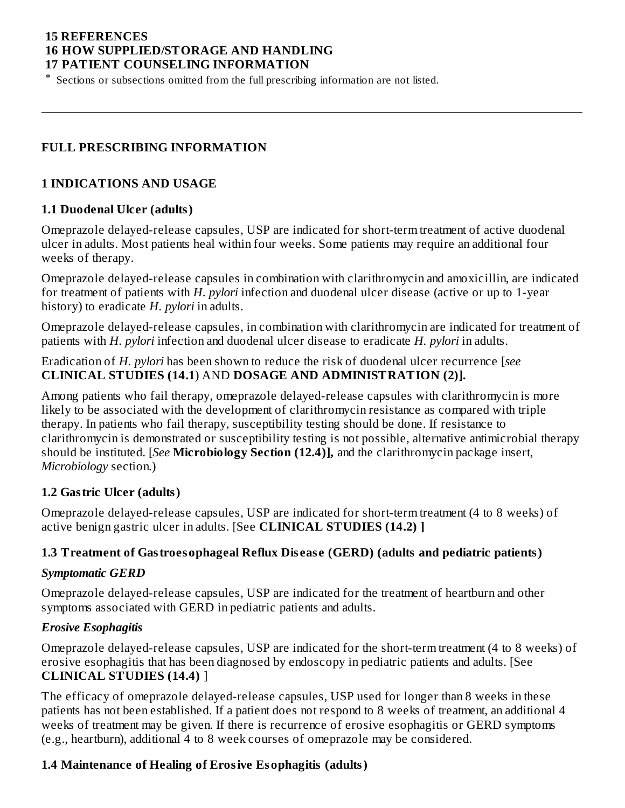#### **15 REFERENCES 16 HOW SUPPLIED/STORAGE AND HANDLING 17 PATIENT COUNSELING INFORMATION**

\* Sections or subsections omitted from the full prescribing information are not listed.

#### **FULL PRESCRIBING INFORMATION**

#### **1 INDICATIONS AND USAGE**

#### **1.1 Duodenal Ulcer (adults)**

Omeprazole delayed-release capsules, USP are indicated for short-term treatment of active duodenal ulcer in adults. Most patients heal within four weeks. Some patients may require an additional four weeks of therapy.

Omeprazole delayed-release capsules in combination with clarithromycin and amoxicillin, are indicated for treatment of patients with *H. pylori* infection and duodenal ulcer disease (active or up to 1-year history) to eradicate *H. pylori* in adults.

Omeprazole delayed-release capsules, in combination with clarithromycin are indicated for treatment of patients with *H. pylori* infection and duodenal ulcer disease to eradicate *H. pylori* in adults.

Eradication of *H. pylori* has been shown to reduce the risk of duodenal ulcer recurrence [*see* **CLINICAL STUDIES (14.1**) AND **DOSAGE AND ADMINISTRATION (2)].**

Among patients who fail therapy, omeprazole delayed-release capsules with clarithromycin is more likely to be associated with the development of clarithromycin resistance as compared with triple therapy. In patients who fail therapy, susceptibility testing should be done. If resistance to clarithromycin is demonstrated or susceptibility testing is not possible, alternative antimicrobial therapy should be instituted. [*See* **Microbiology Section (12.4)],** and the clarithromycin package insert, *Microbiology* section.)

#### **1.2 Gastric Ulcer (adults)**

Omeprazole delayed-release capsules, USP are indicated for short-term treatment (4 to 8 weeks) of active benign gastric ulcer in adults. [See **CLINICAL STUDIES (14.2) ]**

#### **1.3 Treatment of Gastroesophageal Reflux Dis eas e (GERD) (adults and pediatric patients)**

#### *Symptomatic GERD*

Omeprazole delayed-release capsules, USP are indicated for the treatment of heartburn and other symptoms associated with GERD in pediatric patients and adults.

#### *Erosive Esophagitis*

Omeprazole delayed-release capsules, USP are indicated for the short-term treatment (4 to 8 weeks) of erosive esophagitis that has been diagnosed by endoscopy in pediatric patients and adults. [See **CLINICAL STUDIES (14.4)** ]

The efficacy of omeprazole delayed-release capsules, USP used for longer than 8 weeks in these patients has not been established. If a patient does not respond to 8 weeks of treatment, an additional 4 weeks of treatment may be given. If there is recurrence of erosive esophagitis or GERD symptoms (e.g., heartburn), additional 4 to 8 week courses of omeprazole may be considered.

#### **1.4 Maintenance of Healing of Erosive Esophagitis (adults)**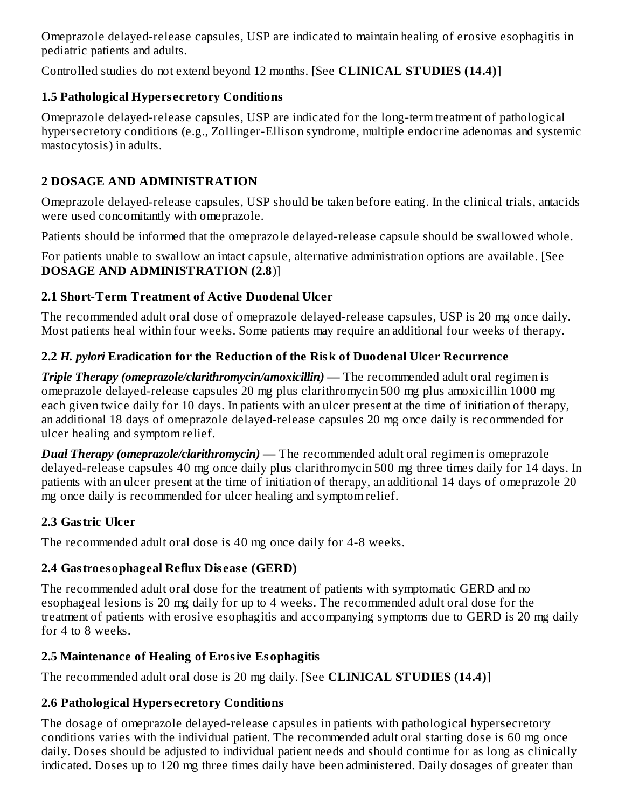Omeprazole delayed-release capsules, USP are indicated to maintain healing of erosive esophagitis in pediatric patients and adults.

Controlled studies do not extend beyond 12 months. [See **CLINICAL STUDIES (14.4)**]

# **1.5 Pathological Hypers ecretory Conditions**

Omeprazole delayed-release capsules, USP are indicated for the long-term treatment of pathological hypersecretory conditions (e.g., Zollinger-Ellison syndrome, multiple endocrine adenomas and systemic mastocytosis) in adults.

# **2 DOSAGE AND ADMINISTRATION**

Omeprazole delayed-release capsules, USP should be taken before eating. In the clinical trials, antacids were used concomitantly with omeprazole.

Patients should be informed that the omeprazole delayed-release capsule should be swallowed whole.

For patients unable to swallow an intact capsule, alternative administration options are available. [See **DOSAGE AND ADMINISTRATION (2.8**)]

# **2.1 Short-Term Treatment of Active Duodenal Ulcer**

The recommended adult oral dose of omeprazole delayed-release capsules, USP is 20 mg once daily. Most patients heal within four weeks. Some patients may require an additional four weeks of therapy.

# **2.2** *H. pylori* **Eradication for the Reduction of the Risk of Duodenal Ulcer Recurrence**

*Triple Therapy (omeprazole/clarithromycin/amoxicillin)* **—** The recommended adult oral regimen is omeprazole delayed-release capsules 20 mg plus clarithromycin 500 mg plus amoxicillin 1000 mg each given twice daily for 10 days. In patients with an ulcer present at the time of initiation of therapy, an additional 18 days of omeprazole delayed-release capsules 20 mg once daily is recommended for ulcer healing and symptom relief.

*Dual Therapy (omeprazole/clarithromycin)* **—** The recommended adult oral regimen is omeprazole delayed-release capsules 40 mg once daily plus clarithromycin 500 mg three times daily for 14 days. In patients with an ulcer present at the time of initiation of therapy, an additional 14 days of omeprazole 20 mg once daily is recommended for ulcer healing and symptom relief.

# **2.3 Gastric Ulcer**

The recommended adult oral dose is 40 mg once daily for 4-8 weeks.

# **2.4 Gastroesophageal Reflux Dis eas e (GERD)**

The recommended adult oral dose for the treatment of patients with symptomatic GERD and no esophageal lesions is 20 mg daily for up to 4 weeks. The recommended adult oral dose for the treatment of patients with erosive esophagitis and accompanying symptoms due to GERD is 20 mg daily for 4 to 8 weeks.

# **2.5 Maintenance of Healing of Erosive Esophagitis**

The recommended adult oral dose is 20 mg daily. [See **CLINICAL STUDIES (14.4)**]

# **2.6 Pathological Hypers ecretory Conditions**

The dosage of omeprazole delayed-release capsules in patients with pathological hypersecretory conditions varies with the individual patient. The recommended adult oral starting dose is 60 mg once daily. Doses should be adjusted to individual patient needs and should continue for as long as clinically indicated. Doses up to 120 mg three times daily have been administered. Daily dosages of greater than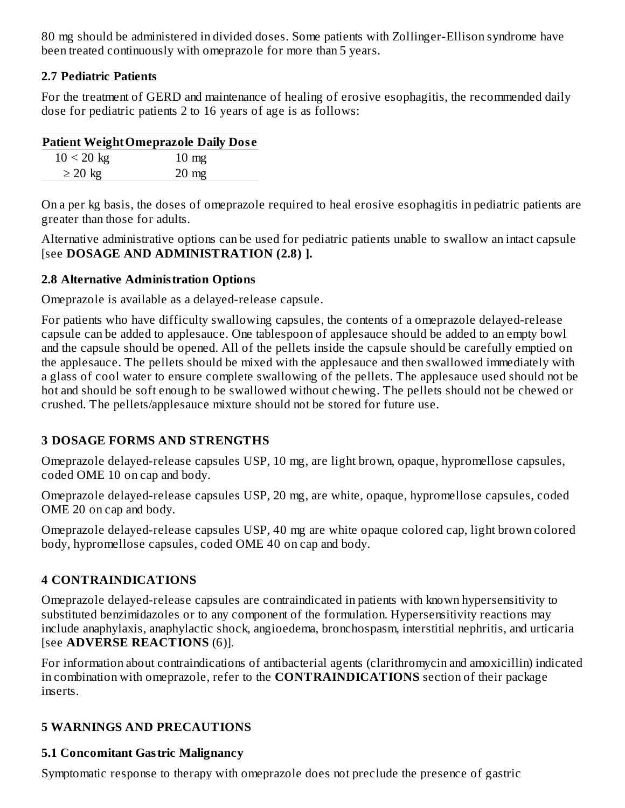80 mg should be administered in divided doses. Some patients with Zollinger-Ellison syndrome have been treated continuously with omeprazole for more than 5 years.

#### **2.7 Pediatric Patients**

For the treatment of GERD and maintenance of healing of erosive esophagitis, the recommended daily dose for pediatric patients 2 to 16 years of age is as follows:

#### **Patient WeightOmeprazole Daily Dos e**

| $10 < 20$ kg | $10 \text{ mg}$ |
|--------------|-----------------|
| $\geq$ 20 kg | $20 \text{ mg}$ |
|              |                 |

On a per kg basis, the doses of omeprazole required to heal erosive esophagitis in pediatric patients are greater than those for adults.

Alternative administrative options can be used for pediatric patients unable to swallow an intact capsule [see **DOSAGE AND ADMINISTRATION (2.8) ].**

#### **2.8 Alternative Administration Options**

Omeprazole is available as a delayed-release capsule.

For patients who have difficulty swallowing capsules, the contents of a omeprazole delayed-release capsule can be added to applesauce. One tablespoon of applesauce should be added to an empty bowl and the capsule should be opened. All of the pellets inside the capsule should be carefully emptied on the applesauce. The pellets should be mixed with the applesauce and then swallowed immediately with a glass of cool water to ensure complete swallowing of the pellets. The applesauce used should not be hot and should be soft enough to be swallowed without chewing. The pellets should not be chewed or crushed. The pellets/applesauce mixture should not be stored for future use.

## **3 DOSAGE FORMS AND STRENGTHS**

Omeprazole delayed-release capsules USP, 10 mg, are light brown, opaque, hypromellose capsules, coded OME 10 on cap and body.

Omeprazole delayed-release capsules USP, 20 mg, are white, opaque, hypromellose capsules, coded OME 20 on cap and body.

Omeprazole delayed-release capsules USP, 40 mg are white opaque colored cap, light brown colored body, hypromellose capsules, coded OME 40 on cap and body.

## **4 CONTRAINDICATIONS**

Omeprazole delayed-release capsules are contraindicated in patients with known hypersensitivity to substituted benzimidazoles or to any component of the formulation. Hypersensitivity reactions may include anaphylaxis, anaphylactic shock, angioedema, bronchospasm, interstitial nephritis, and urticaria [see **ADVERSE REACTIONS** (6)].

For information about contraindications of antibacterial agents (clarithromycin and amoxicillin) indicated in combination with omeprazole, refer to the **CONTRAINDICATIONS** section of their package inserts.

## **5 WARNINGS AND PRECAUTIONS**

## **5.1 Concomitant Gastric Malignancy**

Symptomatic response to therapy with omeprazole does not preclude the presence of gastric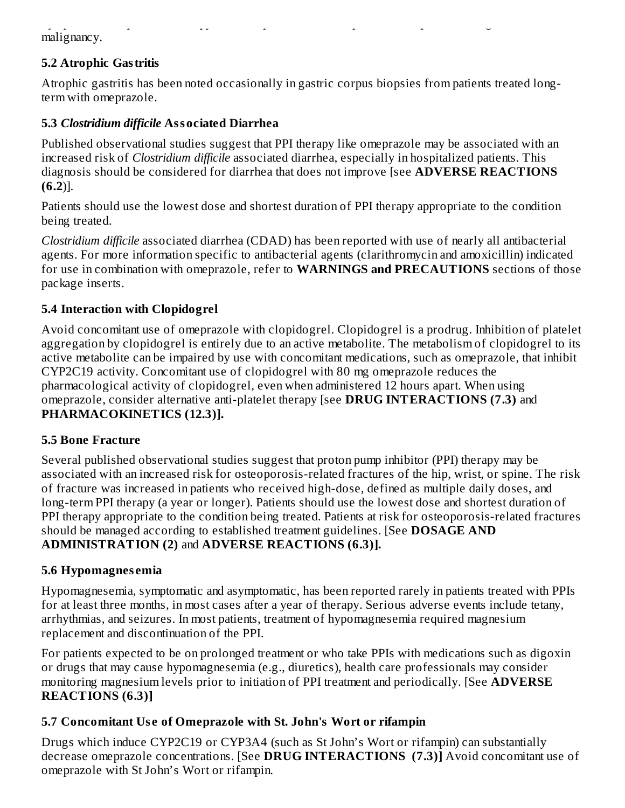Symptomatic response to therapy with omeprazole does not preclude the presence of gastric malignancy.

# **5.2 Atrophic Gastritis**

Atrophic gastritis has been noted occasionally in gastric corpus biopsies from patients treated longterm with omeprazole.

## **5.3** *Clostridium difficile* **Associated Diarrhea**

Published observational studies suggest that PPI therapy like omeprazole may be associated with an increased risk of *Clostridium difficile* associated diarrhea, especially in hospitalized patients. This diagnosis should be considered for diarrhea that does not improve [see **ADVERSE REACTIONS (6.2**)].

Patients should use the lowest dose and shortest duration of PPI therapy appropriate to the condition being treated.

*Clostridium difficile* associated diarrhea (CDAD) has been reported with use of nearly all antibacterial agents. For more information specific to antibacterial agents (clarithromycin and amoxicillin) indicated for use in combination with omeprazole, refer to **WARNINGS and PRECAUTIONS** sections of those package inserts.

## **5.4 Interaction with Clopidogrel**

Avoid concomitant use of omeprazole with clopidogrel. Clopidogrel is a prodrug. Inhibition of platelet aggregation by clopidogrel is entirely due to an active metabolite. The metabolism of clopidogrel to its active metabolite can be impaired by use with concomitant medications, such as omeprazole, that inhibit CYP2C19 activity. Concomitant use of clopidogrel with 80 mg omeprazole reduces the pharmacological activity of clopidogrel, even when administered 12 hours apart. When using omeprazole, consider alternative anti-platelet therapy [see **DRUG INTERACTIONS (7.3)** and **PHARMACOKINETICS (12.3)].**

#### **5.5 Bone Fracture**

Several published observational studies suggest that proton pump inhibitor (PPI) therapy may be associated with an increased risk for osteoporosis-related fractures of the hip, wrist, or spine. The risk of fracture was increased in patients who received high-dose, defined as multiple daily doses, and long-term PPI therapy (a year or longer). Patients should use the lowest dose and shortest duration of PPI therapy appropriate to the condition being treated. Patients at risk for osteoporosis-related fractures should be managed according to established treatment guidelines. [See **DOSAGE AND ADMINISTRATION (2)** and **ADVERSE REACTIONS (6.3)].**

#### **5.6 Hypomagnes emia**

Hypomagnesemia, symptomatic and asymptomatic, has been reported rarely in patients treated with PPIs for at least three months, in most cases after a year of therapy. Serious adverse events include tetany, arrhythmias, and seizures. In most patients, treatment of hypomagnesemia required magnesium replacement and discontinuation of the PPI.

For patients expected to be on prolonged treatment or who take PPIs with medications such as digoxin or drugs that may cause hypomagnesemia (e.g., diuretics), health care professionals may consider monitoring magnesium levels prior to initiation of PPI treatment and periodically. [See **ADVERSE REACTIONS (6.3)]**

## **5.7 Concomitant Us e of Omeprazole with St. John's Wort or rifampin**

Drugs which induce CYP2C19 or CYP3A4 (such as St John's Wort or rifampin) can substantially decrease omeprazole concentrations. [See **DRUG INTERACTIONS (7.3)]** Avoid concomitant use of omeprazole with St John's Wort or rifampin.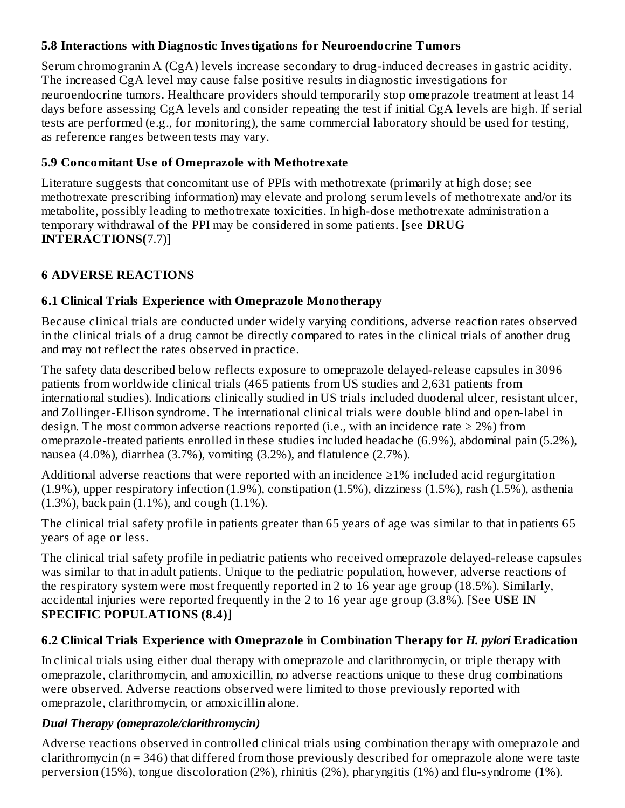# **5.8 Interactions with Diagnostic Investigations for Neuroendocrine Tumors**

Serum chromogranin A (CgA) levels increase secondary to drug-induced decreases in gastric acidity. The increased CgA level may cause false positive results in diagnostic investigations for neuroendocrine tumors. Healthcare providers should temporarily stop omeprazole treatment at least 14 days before assessing CgA levels and consider repeating the test if initial CgA levels are high. If serial tests are performed (e.g., for monitoring), the same commercial laboratory should be used for testing, as reference ranges between tests may vary.

# **5.9 Concomitant Us e of Omeprazole with Methotrexate**

Literature suggests that concomitant use of PPIs with methotrexate (primarily at high dose; see methotrexate prescribing information) may elevate and prolong serum levels of methotrexate and/or its metabolite, possibly leading to methotrexate toxicities. In high-dose methotrexate administration a temporary withdrawal of the PPI may be considered in some patients. [see **DRUG INTERACTIONS(**7.7)]

# **6 ADVERSE REACTIONS**

# **6.1 Clinical Trials Experience with Omeprazole Monotherapy**

Because clinical trials are conducted under widely varying conditions, adverse reaction rates observed in the clinical trials of a drug cannot be directly compared to rates in the clinical trials of another drug and may not reflect the rates observed in practice.

The safety data described below reflects exposure to omeprazole delayed-release capsules in 3096 patients from worldwide clinical trials (465 patients from US studies and 2,631 patients from international studies). Indications clinically studied in US trials included duodenal ulcer, resistant ulcer, and Zollinger-Ellison syndrome. The international clinical trials were double blind and open-label in design. The most common adverse reactions reported (i.e., with an incidence rate  $\geq 2\%$ ) from omeprazole-treated patients enrolled in these studies included headache (6.9%), abdominal pain (5.2%), nausea (4.0%), diarrhea (3.7%), vomiting (3.2%), and flatulence (2.7%).

Additional adverse reactions that were reported with an incidence  $\geq$ 1% included acid regurgitation (1.9%), upper respiratory infection (1.9%), constipation (1.5%), dizziness (1.5%), rash (1.5%), asthenia (1.3%), back pain (1.1%), and cough (1.1%).

The clinical trial safety profile in patients greater than 65 years of age was similar to that in patients 65 years of age or less.

The clinical trial safety profile in pediatric patients who received omeprazole delayed-release capsules was similar to that in adult patients. Unique to the pediatric population, however, adverse reactions of the respiratory system were most frequently reported in 2 to 16 year age group (18.5%). Similarly, accidental injuries were reported frequently in the 2 to 16 year age group (3.8%). [See **USE IN SPECIFIC POPULATIONS (8.4)]**

# **6.2 Clinical Trials Experience with Omeprazole in Combination Therapy for** *H. pylori* **Eradication**

In clinical trials using either dual therapy with omeprazole and clarithromycin, or triple therapy with omeprazole, clarithromycin, and amoxicillin, no adverse reactions unique to these drug combinations were observed. Adverse reactions observed were limited to those previously reported with omeprazole, clarithromycin, or amoxicillin alone.

# *Dual Therapy (omeprazole/clarithromycin)*

Adverse reactions observed in controlled clinical trials using combination therapy with omeprazole and clarithromycin (n = 346) that differed from those previously described for omeprazole alone were taste perversion (15%), tongue discoloration (2%), rhinitis (2%), pharyngitis (1%) and flu-syndrome (1%).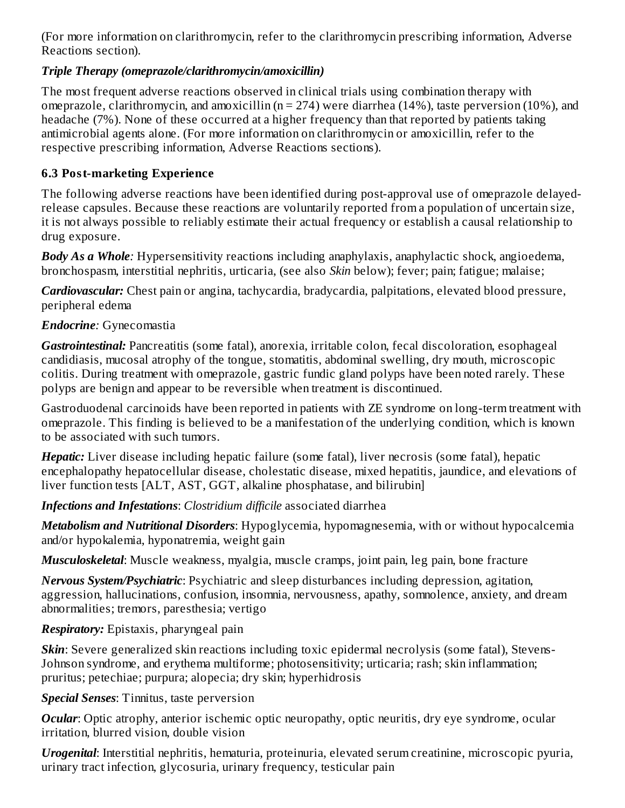(For more information on clarithromycin, refer to the clarithromycin prescribing information, Adverse Reactions section).

#### *Triple Therapy (omeprazole/clarithromycin/amoxicillin)*

The most frequent adverse reactions observed in clinical trials using combination therapy with omeprazole, clarithromycin, and amoxicillin ( $n = 274$ ) were diarrhea (14%), taste perversion (10%), and headache (7%). None of these occurred at a higher frequency than that reported by patients taking antimicrobial agents alone. (For more information on clarithromycin or amoxicillin, refer to the respective prescribing information, Adverse Reactions sections).

# **6.3 Post-marketing Experience**

The following adverse reactions have been identified during post-approval use of omeprazole delayedrelease capsules. Because these reactions are voluntarily reported from a population of uncertain size, it is not always possible to reliably estimate their actual frequency or establish a causal relationship to drug exposure.

*Body As a Whole:* Hypersensitivity reactions including anaphylaxis, anaphylactic shock, angioedema, bronchospasm, interstitial nephritis, urticaria, (see also *Skin* below); fever; pain; fatigue; malaise;

*Cardiovascular:* Chest pain or angina, tachycardia, bradycardia, palpitations, elevated blood pressure, peripheral edema

## *Endocrine:* Gynecomastia

*Gastrointestinal:* Pancreatitis (some fatal), anorexia, irritable colon, fecal discoloration, esophageal candidiasis, mucosal atrophy of the tongue, stomatitis, abdominal swelling, dry mouth, microscopic colitis. During treatment with omeprazole, gastric fundic gland polyps have been noted rarely. These polyps are benign and appear to be reversible when treatment is discontinued.

Gastroduodenal carcinoids have been reported in patients with ZE syndrome on long-term treatment with omeprazole. This finding is believed to be a manifestation of the underlying condition, which is known to be associated with such tumors.

*Hepatic:* Liver disease including hepatic failure (some fatal), liver necrosis (some fatal), hepatic encephalopathy hepatocellular disease, cholestatic disease, mixed hepatitis, jaundice, and elevations of liver function tests [ALT, AST, GGT, alkaline phosphatase, and bilirubin]

*Infections and Infestations*: *Clostridium difficile* associated diarrhea

*Metabolism and Nutritional Disorders*: Hypoglycemia, hypomagnesemia, with or without hypocalcemia and/or hypokalemia, hyponatremia, weight gain

*Musculoskeletal*: Muscle weakness, myalgia, muscle cramps, joint pain, leg pain, bone fracture

*Nervous System/Psychiatric*: Psychiatric and sleep disturbances including depression, agitation, aggression, hallucinations, confusion, insomnia, nervousness, apathy, somnolence, anxiety, and dream abnormalities; tremors, paresthesia; vertigo

## *Respiratory:* Epistaxis, pharyngeal pain

*Skin*: Severe generalized skin reactions including toxic epidermal necrolysis (some fatal), Stevens-Johnson syndrome, and erythema multiforme; photosensitivity; urticaria; rash; skin inflammation; pruritus; petechiae; purpura; alopecia; dry skin; hyperhidrosis

*Special Senses*: Tinnitus, taste perversion

*Ocular*: Optic atrophy, anterior ischemic optic neuropathy, optic neuritis, dry eye syndrome, ocular irritation, blurred vision, double vision

*Urogenital*: Interstitial nephritis, hematuria, proteinuria, elevated serum creatinine, microscopic pyuria, urinary tract infection, glycosuria, urinary frequency, testicular pain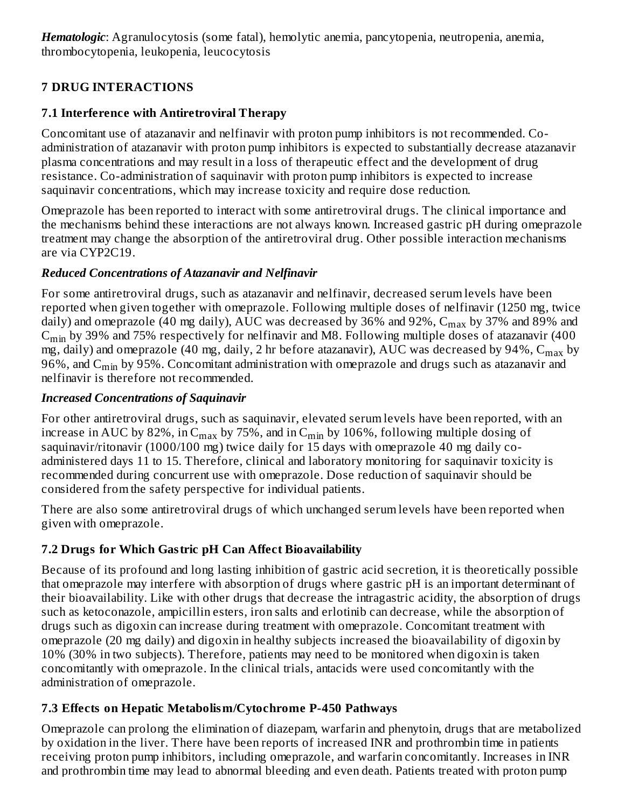*Hematologic*: Agranulocytosis (some fatal), hemolytic anemia, pancytopenia, neutropenia, anemia, thrombocytopenia, leukopenia, leucocytosis

# **7 DRUG INTERACTIONS**

# **7.1 Interference with Antiretroviral Therapy**

Concomitant use of atazanavir and nelfinavir with proton pump inhibitors is not recommended. Coadministration of atazanavir with proton pump inhibitors is expected to substantially decrease atazanavir plasma concentrations and may result in a loss of therapeutic effect and the development of drug resistance. Co-administration of saquinavir with proton pump inhibitors is expected to increase saquinavir concentrations, which may increase toxicity and require dose reduction.

Omeprazole has been reported to interact with some antiretroviral drugs. The clinical importance and the mechanisms behind these interactions are not always known. Increased gastric pH during omeprazole treatment may change the absorption of the antiretroviral drug. Other possible interaction mechanisms are via CYP2C19.

# *Reduced Concentrations of Atazanavir and Nelfinavir*

For some antiretroviral drugs, such as atazanavir and nelfinavir, decreased serum levels have been reported when given together with omeprazole. Following multiple doses of nelfinavir (1250 mg, twice daily) and omeprazole (40 mg daily), AUC was decreased by 36% and 92%,  $\rm{C_{max}}$  by 37% and 89% and  $\rm{C_{min}}$  by 39% and 75% respectively for nelfinavir and M8. Following multiple doses of atazanavir (400 mg, daily) and omeprazole (40 mg, daily, 2 hr before atazanavir),  $\rm AUC$  was decreased by 94%,  $\rm C_{max}$  by 96%, and  $\rm{C_{min}}$  by 95%. Concomitant administration with omeprazole and drugs such as atazanavir and nelfinavir is therefore not recommended.

# *Increased Concentrations of Saquinavir*

For other antiretroviral drugs, such as saquinavir, elevated serum levels have been reported, with an increase in AUC by 82%, in  $\mathsf{C}_{\max}$  by 75%, and in  $\mathsf{C}_{\min}$  by 106%, following multiple dosing of saquinavir/ritonavir (1000/100 mg) twice daily for 15 days with omeprazole 40 mg daily coadministered days 11 to 15. Therefore, clinical and laboratory monitoring for saquinavir toxicity is recommended during concurrent use with omeprazole. Dose reduction of saquinavir should be considered from the safety perspective for individual patients.

There are also some antiretroviral drugs of which unchanged serum levels have been reported when given with omeprazole.

# **7.2 Drugs for Which Gastric pH Can Affect Bioavailability**

Because of its profound and long lasting inhibition of gastric acid secretion, it is theoretically possible that omeprazole may interfere with absorption of drugs where gastric pH is an important determinant of their bioavailability. Like with other drugs that decrease the intragastric acidity, the absorption of drugs such as ketoconazole, ampicillin esters, iron salts and erlotinib can decrease, while the absorption of drugs such as digoxin can increase during treatment with omeprazole. Concomitant treatment with omeprazole (20 mg daily) and digoxin in healthy subjects increased the bioavailability of digoxin by 10% (30% in two subjects). Therefore, patients may need to be monitored when digoxin is taken concomitantly with omeprazole. In the clinical trials, antacids were used concomitantly with the administration of omeprazole.

# **7.3 Effects on Hepatic Metabolism/Cytochrome P-450 Pathways**

Omeprazole can prolong the elimination of diazepam, warfarin and phenytoin, drugs that are metabolized by oxidation in the liver. There have been reports of increased INR and prothrombin time in patients receiving proton pump inhibitors, including omeprazole, and warfarin concomitantly. Increases in INR and prothrombin time may lead to abnormal bleeding and even death. Patients treated with proton pump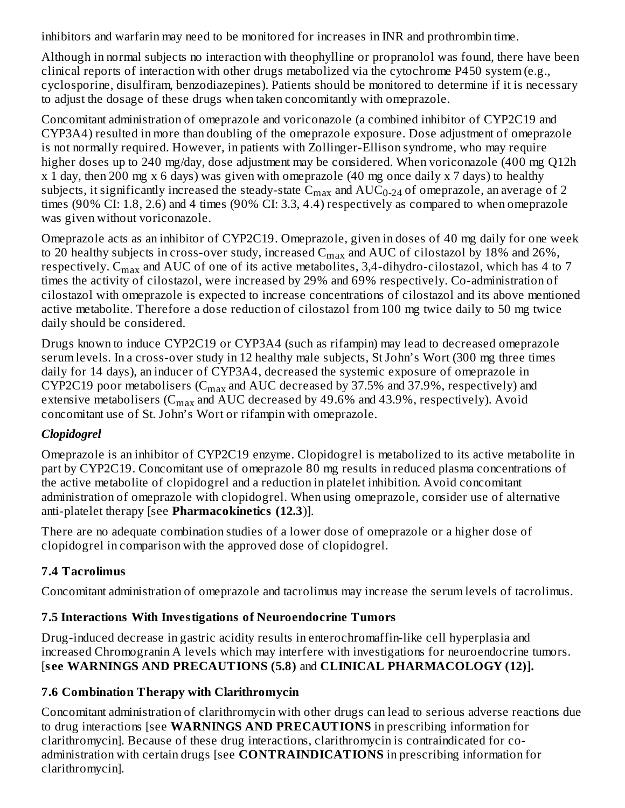inhibitors and warfarin may need to be monitored for increases in INR and prothrombin time.

Although in normal subjects no interaction with theophylline or propranolol was found, there have been clinical reports of interaction with other drugs metabolized via the cytochrome P450 system (e.g., cyclosporine, disulfiram, benzodiazepines). Patients should be monitored to determine if it is necessary to adjust the dosage of these drugs when taken concomitantly with omeprazole.

Concomitant administration of omeprazole and voriconazole (a combined inhibitor of CYP2C19 and CYP3A4) resulted in more than doubling of the omeprazole exposure. Dose adjustment of omeprazole is not normally required. However, in patients with Zollinger-Ellison syndrome, who may require higher doses up to 240 mg/day, dose adjustment may be considered. When voriconazole (400 mg Q12h x 1 day, then 200 mg x 6 days) was given with omeprazole (40 mg once daily x 7 days) to healthy subjects, it significantly increased the steady-state  $\rm C_{max}$  and  $\rm AUC_{0\text{-}24}$  of omeprazole, an average of 2 times (90% CI: 1.8, 2.6) and 4 times (90% CI: 3.3, 4.4) respectively as compared to when omeprazole was given without voriconazole.

Omeprazole acts as an inhibitor of CYP2C19. Omeprazole, given in doses of 40 mg daily for one week to 20 healthy subjects in cross-over study, increased  $\rm{C_{max}}$  and  $\rm{AUC}$  of cilostazol by 18% and 26%, respectively.  $\rm{C_{max}}$  and  $\rm{AUC}$  of one of its active metabolites, 3,4-dihydro-cilostazol, which has 4 to 7 times the activity of cilostazol, were increased by 29% and 69% respectively. Co-administration of cilostazol with omeprazole is expected to increase concentrations of cilostazol and its above mentioned active metabolite. Therefore a dose reduction of cilostazol from 100 mg twice daily to 50 mg twice daily should be considered.

Drugs known to induce CYP2C19 or CYP3A4 (such as rifampin) may lead to decreased omeprazole serum levels. In a cross-over study in 12 healthy male subjects, St John's Wort (300 mg three times daily for 14 days), an inducer of CYP3A4, decreased the systemic exposure of omeprazole in CYP2C19 poor metabolisers (C $_{\rm max}$  and AUC decreased by 37.5% and 37.9%, respectively) and extensive metabolisers (C $_{\rm max}$  and AUC decreased by 49.6% and 43.9%, respectively). Avoid concomitant use of St. John's Wort or rifampin with omeprazole.

## *Clopidogrel*

Omeprazole is an inhibitor of CYP2C19 enzyme. Clopidogrel is metabolized to its active metabolite in part by CYP2C19. Concomitant use of omeprazole 80 mg results in reduced plasma concentrations of the active metabolite of clopidogrel and a reduction in platelet inhibition. Avoid concomitant administration of omeprazole with clopidogrel. When using omeprazole, consider use of alternative anti-platelet therapy [see **Pharmacokinetics (12.3**)].

There are no adequate combination studies of a lower dose of omeprazole or a higher dose of clopidogrel in comparison with the approved dose of clopidogrel.

## **7.4 Tacrolimus**

Concomitant administration of omeprazole and tacrolimus may increase the serum levels of tacrolimus.

## **7.5 Interactions With Investigations of Neuroendocrine Tumors**

Drug-induced decrease in gastric acidity results in enterochromaffin-like cell hyperplasia and increased Chromogranin A levels which may interfere with investigations for neuroendocrine tumors. [**s ee WARNINGS AND PRECAUTIONS (5.8)** and **CLINICAL PHARMACOLOGY (12)].**

## **7.6 Combination Therapy with Clarithromycin**

Concomitant administration of clarithromycin with other drugs can lead to serious adverse reactions due to drug interactions [see **WARNINGS AND PRECAUTIONS** in prescribing information for clarithromycin]. Because of these drug interactions, clarithromycin is contraindicated for coadministration with certain drugs [see **CONTRAINDICATIONS** in prescribing information for clarithromycin].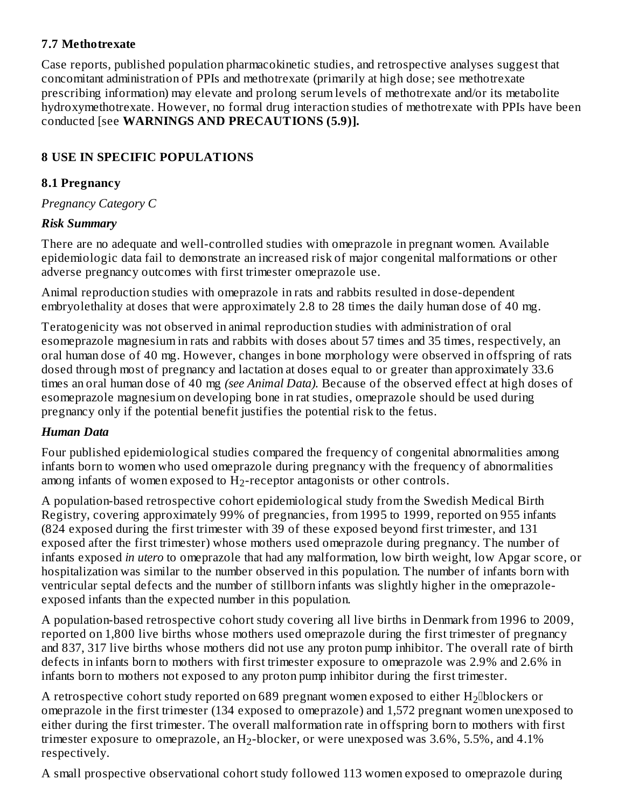#### **7.7 Methotrexate**

Case reports, published population pharmacokinetic studies, and retrospective analyses suggest that concomitant administration of PPIs and methotrexate (primarily at high dose; see methotrexate prescribing information) may elevate and prolong serum levels of methotrexate and/or its metabolite hydroxymethotrexate. However, no formal drug interaction studies of methotrexate with PPIs have been conducted [see **WARNINGS AND PRECAUTIONS (5.9)].**

# **8 USE IN SPECIFIC POPULATIONS**

#### **8.1 Pregnancy**

*Pregnancy Category C*

## *Risk Summary*

There are no adequate and well-controlled studies with omeprazole in pregnant women. Available epidemiologic data fail to demonstrate an increased risk of major congenital malformations or other adverse pregnancy outcomes with first trimester omeprazole use.

Animal reproduction studies with omeprazole in rats and rabbits resulted in dose-dependent embryolethality at doses that were approximately 2.8 to 28 times the daily human dose of 40 mg.

Teratogenicity was not observed in animal reproduction studies with administration of oral esomeprazole magnesium in rats and rabbits with doses about 57 times and 35 times, respectively, an oral human dose of 40 mg. However, changes in bone morphology were observed in offspring of rats dosed through most of pregnancy and lactation at doses equal to or greater than approximately 33.6 times an oral human dose of 40 mg *(see Animal Data).* Because of the observed effect at high doses of esomeprazole magnesium on developing bone in rat studies, omeprazole should be used during pregnancy only if the potential benefit justifies the potential risk to the fetus.

## *Human Data*

Four published epidemiological studies compared the frequency of congenital abnormalities among infants born to women who used omeprazole during pregnancy with the frequency of abnormalities among infants of women exposed to  $H_2$ -receptor antagonists or other controls.

A population-based retrospective cohort epidemiological study from the Swedish Medical Birth Registry, covering approximately 99% of pregnancies, from 1995 to 1999, reported on 955 infants (824 exposed during the first trimester with 39 of these exposed beyond first trimester, and 131 exposed after the first trimester) whose mothers used omeprazole during pregnancy. The number of infants exposed *in utero* to omeprazole that had any malformation, low birth weight, low Apgar score, or hospitalization was similar to the number observed in this population. The number of infants born with ventricular septal defects and the number of stillborn infants was slightly higher in the omeprazoleexposed infants than the expected number in this population.

A population-based retrospective cohort study covering all live births in Denmark from 1996 to 2009, reported on 1,800 live births whose mothers used omeprazole during the first trimester of pregnancy and 837, 317 live births whose mothers did not use any proton pump inhibitor. The overall rate of birth defects in infants born to mothers with first trimester exposure to omeprazole was 2.9% and 2.6% in infants born to mothers not exposed to any proton pump inhibitor during the first trimester.

A retrospective cohort study reported on 689 pregnant women exposed to either  $\rm H_2$ []blockers or omeprazole in the first trimester (134 exposed to omeprazole) and 1,572 pregnant women unexposed to either during the first trimester. The overall malformation rate in offspring born to mothers with first trimester exposure to omeprazole, an  $\rm H_2\text{-}blocker,$  or were unexposed was 3.6%, 5.5%, and 4.1% respectively.

A small prospective observational cohort study followed 113 women exposed to omeprazole during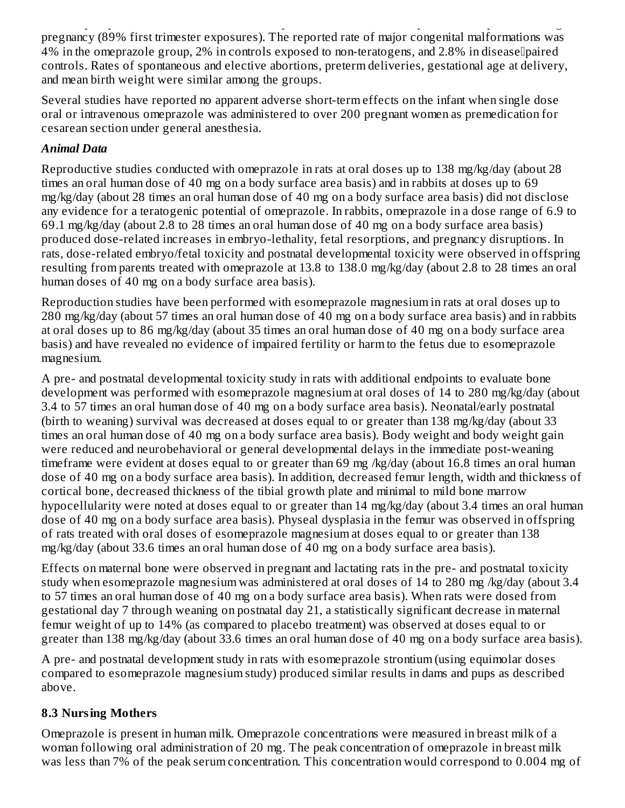A small prospective observational cohort study followed 113 women exposed to omeprazole during pregnancy (89% first trimester exposures). The reported rate of major congenital malformations was  $4\%$  in the omeprazole group, 2% in controls exposed to non-teratogens, and 2.8% in disease paired controls. Rates of spontaneous and elective abortions, preterm deliveries, gestational age at delivery, and mean birth weight were similar among the groups.

Several studies have reported no apparent adverse short-term effects on the infant when single dose oral or intravenous omeprazole was administered to over 200 pregnant women as premedication for cesarean section under general anesthesia.

# *Animal Data*

Reproductive studies conducted with omeprazole in rats at oral doses up to 138 mg/kg/day (about 28 times an oral human dose of 40 mg on a body surface area basis) and in rabbits at doses up to 69 mg/kg/day (about 28 times an oral human dose of 40 mg on a body surface area basis) did not disclose any evidence for a teratogenic potential of omeprazole. In rabbits, omeprazole in a dose range of 6.9 to 69.1 mg/kg/day (about 2.8 to 28 times an oral human dose of 40 mg on a body surface area basis) produced dose-related increases in embryo-lethality, fetal resorptions, and pregnancy disruptions. In rats, dose-related embryo/fetal toxicity and postnatal developmental toxicity were observed in offspring resulting from parents treated with omeprazole at 13.8 to 138.0 mg/kg/day (about 2.8 to 28 times an oral human doses of 40 mg on a body surface area basis).

Reproduction studies have been performed with esomeprazole magnesium in rats at oral doses up to 280 mg/kg/day (about 57 times an oral human dose of 40 mg on a body surface area basis) and in rabbits at oral doses up to 86 mg/kg/day (about 35 times an oral human dose of 40 mg on a body surface area basis) and have revealed no evidence of impaired fertility or harm to the fetus due to esomeprazole magnesium.

A pre- and postnatal developmental toxicity study in rats with additional endpoints to evaluate bone development was performed with esomeprazole magnesium at oral doses of 14 to 280 mg/kg/day (about 3.4 to 57 times an oral human dose of 40 mg on a body surface area basis). Neonatal/early postnatal (birth to weaning) survival was decreased at doses equal to or greater than 138 mg/kg/day (about 33 times an oral human dose of 40 mg on a body surface area basis). Body weight and body weight gain were reduced and neurobehavioral or general developmental delays in the immediate post-weaning timeframe were evident at doses equal to or greater than 69 mg /kg/day (about 16.8 times an oral human dose of 40 mg on a body surface area basis). In addition, decreased femur length, width and thickness of cortical bone, decreased thickness of the tibial growth plate and minimal to mild bone marrow hypocellularity were noted at doses equal to or greater than 14 mg/kg/day (about 3.4 times an oral human dose of 40 mg on a body surface area basis). Physeal dysplasia in the femur was observed in offspring of rats treated with oral doses of esomeprazole magnesium at doses equal to or greater than 138 mg/kg/day (about 33.6 times an oral human dose of 40 mg on a body surface area basis).

Effects on maternal bone were observed in pregnant and lactating rats in the pre- and postnatal toxicity study when esomeprazole magnesium was administered at oral doses of 14 to 280 mg /kg/day (about 3.4 to 57 times an oral human dose of 40 mg on a body surface area basis). When rats were dosed from gestational day 7 through weaning on postnatal day 21, a statistically significant decrease in maternal femur weight of up to 14% (as compared to placebo treatment) was observed at doses equal to or greater than 138 mg/kg/day (about 33.6 times an oral human dose of 40 mg on a body surface area basis).

A pre- and postnatal development study in rats with esomeprazole strontium (using equimolar doses compared to esomeprazole magnesium study) produced similar results in dams and pups as described above.

## **8.3 Nursing Mothers**

Omeprazole is present in human milk. Omeprazole concentrations were measured in breast milk of a woman following oral administration of 20 mg. The peak concentration of omeprazole in breast milk was less than 7% of the peak serum concentration. This concentration would correspond to 0.004 mg of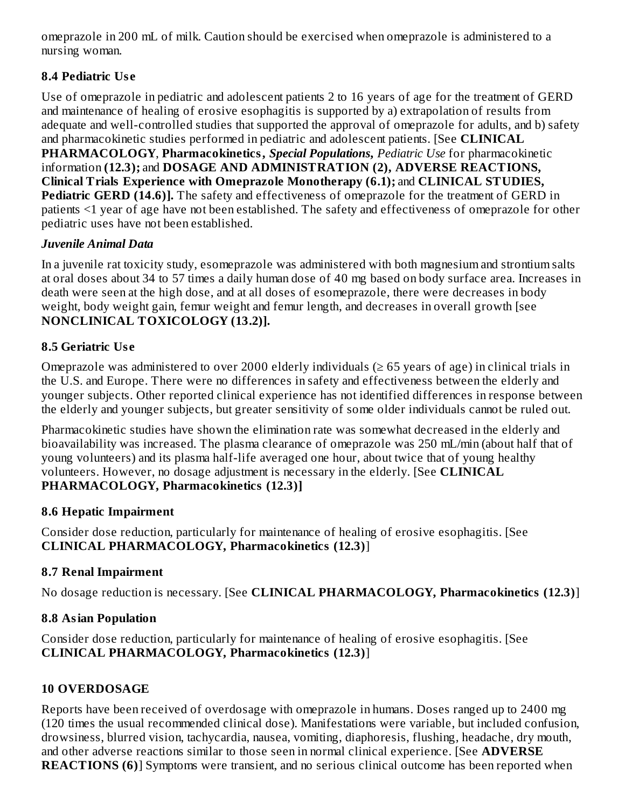omeprazole in 200 mL of milk. Caution should be exercised when omeprazole is administered to a nursing woman.

# **8.4 Pediatric Us e**

Use of omeprazole in pediatric and adolescent patients 2 to 16 years of age for the treatment of GERD and maintenance of healing of erosive esophagitis is supported by a) extrapolation of results from adequate and well-controlled studies that supported the approval of omeprazole for adults, and b) safety and pharmacokinetic studies performed in pediatric and adolescent patients. [See **CLINICAL PHARMACOLOGY**, **Pharmacokinetics,** *Special Populations***,** *Pediatric Use* for pharmacokinetic information **(12.3);** and **DOSAGE AND ADMINISTRATION (2), ADVERSE REACTIONS, Clinical Trials Experience with Omeprazole Monotherapy (6.1);** and **CLINICAL STUDIES, Pediatric GERD (14.6)].** The safety and effectiveness of omeprazole for the treatment of GERD in patients <1 year of age have not been established. The safety and effectiveness of omeprazole for other pediatric uses have not been established.

## *Juvenile Animal Data*

In a juvenile rat toxicity study, esomeprazole was administered with both magnesium and strontium salts at oral doses about 34 to 57 times a daily human dose of 40 mg based on body surface area. Increases in death were seen at the high dose, and at all doses of esomeprazole, there were decreases in body weight, body weight gain, femur weight and femur length, and decreases in overall growth [see **NONCLINICAL TOXICOLOGY (13.2)].**

# **8.5 Geriatric Us e**

Omeprazole was administered to over 2000 elderly individuals  $(\geq 65$  years of age) in clinical trials in the U.S. and Europe. There were no differences in safety and effectiveness between the elderly and younger subjects. Other reported clinical experience has not identified differences in response between the elderly and younger subjects, but greater sensitivity of some older individuals cannot be ruled out.

Pharmacokinetic studies have shown the elimination rate was somewhat decreased in the elderly and bioavailability was increased. The plasma clearance of omeprazole was 250 mL/min (about half that of young volunteers) and its plasma half-life averaged one hour, about twice that of young healthy volunteers. However, no dosage adjustment is necessary in the elderly. [See **CLINICAL PHARMACOLOGY, Pharmacokinetics (12.3)]**

## **8.6 Hepatic Impairment**

Consider dose reduction, particularly for maintenance of healing of erosive esophagitis. [See **CLINICAL PHARMACOLOGY, Pharmacokinetics (12.3)**]

## **8.7 Renal Impairment**

No dosage reduction is necessary. [See **CLINICAL PHARMACOLOGY, Pharmacokinetics (12.3)**]

## **8.8 Asian Population**

Consider dose reduction, particularly for maintenance of healing of erosive esophagitis. [See **CLINICAL PHARMACOLOGY, Pharmacokinetics (12.3)**]

# **10 OVERDOSAGE**

Reports have been received of overdosage with omeprazole in humans. Doses ranged up to 2400 mg (120 times the usual recommended clinical dose). Manifestations were variable, but included confusion, drowsiness, blurred vision, tachycardia, nausea, vomiting, diaphoresis, flushing, headache, dry mouth, and other adverse reactions similar to those seen in normal clinical experience. [See **ADVERSE REACTIONS (6)**] Symptoms were transient, and no serious clinical outcome has been reported when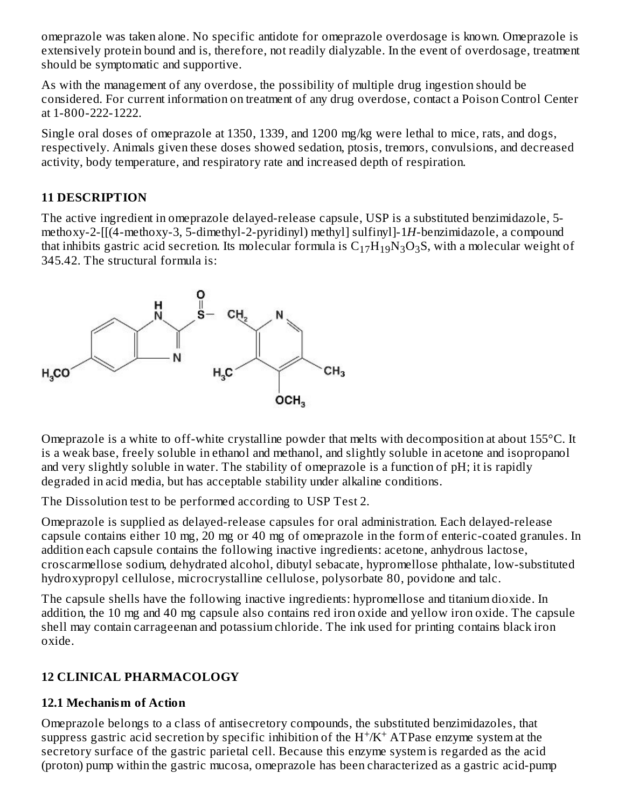omeprazole was taken alone. No specific antidote for omeprazole overdosage is known. Omeprazole is extensively protein bound and is, therefore, not readily dialyzable. In the event of overdosage, treatment should be symptomatic and supportive.

As with the management of any overdose, the possibility of multiple drug ingestion should be considered. For current information on treatment of any drug overdose, contact a Poison Control Center at 1-800-222-1222.

Single oral doses of omeprazole at 1350, 1339, and 1200 mg/kg were lethal to mice, rats, and dogs, respectively. Animals given these doses showed sedation, ptosis, tremors, convulsions, and decreased activity, body temperature, and respiratory rate and increased depth of respiration.

#### **11 DESCRIPTION**

The active ingredient in omeprazole delayed-release capsule, USP is a substituted benzimidazole, 5 methoxy-2-[[(4-methoxy-3, 5-dimethyl-2-pyridinyl) methyl] sulfinyl]-1*H*-benzimidazole, a compound that inhibits gastric acid secretion. Its molecular formula is  $\rm{C_{17}H_{19}N_{3}O_{3}S}$ , with a molecular weight of 345.42. The structural formula is:



Omeprazole is a white to off-white crystalline powder that melts with decomposition at about 155°C. It is a weak base, freely soluble in ethanol and methanol, and slightly soluble in acetone and isopropanol and very slightly soluble in water. The stability of omeprazole is a function of pH; it is rapidly degraded in acid media, but has acceptable stability under alkaline conditions.

The Dissolution test to be performed according to USP Test 2.

Omeprazole is supplied as delayed-release capsules for oral administration. Each delayed-release capsule contains either 10 mg, 20 mg or 40 mg of omeprazole in the form of enteric-coated granules. In addition each capsule contains the following inactive ingredients: acetone, anhydrous lactose, croscarmellose sodium, dehydrated alcohol, dibutyl sebacate, hypromellose phthalate, low-substituted hydroxypropyl cellulose, microcrystalline cellulose, polysorbate 80, povidone and talc.

The capsule shells have the following inactive ingredients: hypromellose and titanium dioxide. In addition, the 10 mg and 40 mg capsule also contains red iron oxide and yellow iron oxide. The capsule shell may contain carrageenan and potassium chloride. The ink used for printing contains black iron oxide.

## **12 CLINICAL PHARMACOLOGY**

#### **12.1 Mechanism of Action**

Omeprazole belongs to a class of antisecretory compounds, the substituted benzimidazoles, that suppress gastric acid secretion by specific inhibition of the  $H^+/K^+$  ATPase enzyme system at the secretory surface of the gastric parietal cell. Because this enzyme system is regarded as the acid (proton) pump within the gastric mucosa, omeprazole has been characterized as a gastric acid-pump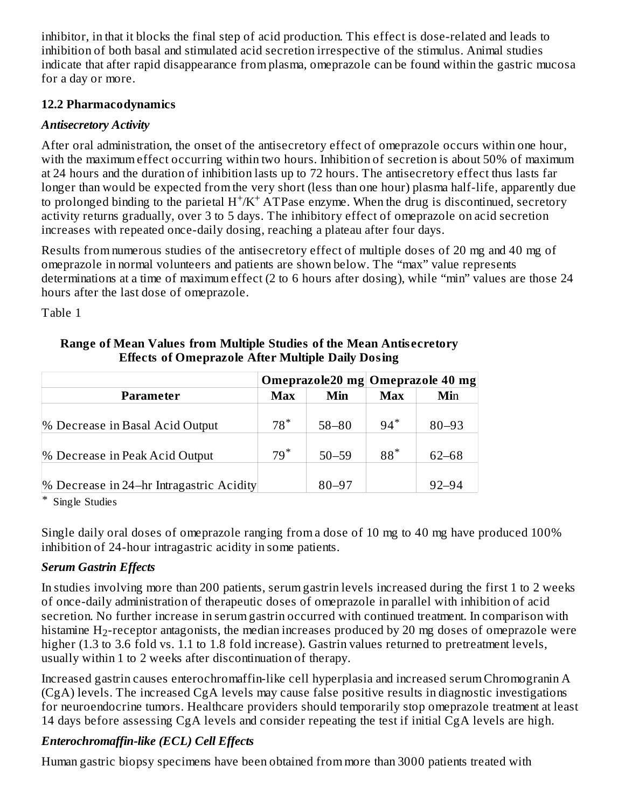inhibitor, in that it blocks the final step of acid production. This effect is dose-related and leads to inhibition of both basal and stimulated acid secretion irrespective of the stimulus. Animal studies indicate that after rapid disappearance from plasma, omeprazole can be found within the gastric mucosa for a day or more.

#### **12.2 Pharmacodynamics**

# *Antisecretory Activity*

After oral administration, the onset of the antisecretory effect of omeprazole occurs within one hour, with the maximum effect occurring within two hours. Inhibition of secretion is about 50% of maximum at 24 hours and the duration of inhibition lasts up to 72 hours. The antisecretory effect thus lasts far longer than would be expected from the very short (less than one hour) plasma half-life, apparently due to prolonged binding to the parietal  $H^+/K^+$  ATPase enzyme. When the drug is discontinued, secretory activity returns gradually, over 3 to 5 days. The inhibitory effect of omeprazole on acid secretion increases with repeated once-daily dosing, reaching a plateau after four days.

Results from numerous studies of the antisecretory effect of multiple doses of 20 mg and 40 mg of omeprazole in normal volunteers and patients are shown below. The "max" value represents determinations at a time of maximum effect (2 to 6 hours after dosing), while "min" values are those 24 hours after the last dose of omeprazole.

Table 1

|                                          |            |           | Omeprazole20 mg Omeprazole 40 mg |           |
|------------------------------------------|------------|-----------|----------------------------------|-----------|
| Parameter                                | <b>Max</b> | Min       | Max                              | Min       |
| % Decrease in Basal Acid Output          | $78*$      | $58 - 80$ | $94*$                            | $80 - 93$ |
| % Decrease in Peak Acid Output           | $79*$      | $50 - 59$ | $88*$                            | $62 - 68$ |
| % Decrease in 24-hr Intragastric Acidity |            | $80 - 97$ |                                  | $92 - 94$ |

#### **Range of Mean Values from Multiple Studies of the Mean Antis ecretory Effects of Omeprazole After Multiple Daily Dosing**

\* Single Studies

Single daily oral doses of omeprazole ranging from a dose of 10 mg to 40 mg have produced 100% inhibition of 24-hour intragastric acidity in some patients.

# *Serum Gastrin Effects*

In studies involving more than 200 patients, serum gastrin levels increased during the first 1 to 2 weeks of once-daily administration of therapeutic doses of omeprazole in parallel with inhibition of acid secretion. No further increase in serum gastrin occurred with continued treatment. In comparison with histamine  $\rm H_2$ -receptor antagonists, the median increases produced by 20 mg doses of omeprazole were higher (1.3 to 3.6 fold vs. 1.1 to 1.8 fold increase). Gastrin values returned to pretreatment levels, usually within 1 to 2 weeks after discontinuation of therapy.

Increased gastrin causes enterochromaffin-like cell hyperplasia and increased serum Chromogranin A (CgA) levels. The increased CgA levels may cause false positive results in diagnostic investigations for neuroendocrine tumors. Healthcare providers should temporarily stop omeprazole treatment at least 14 days before assessing CgA levels and consider repeating the test if initial CgA levels are high.

# *Enterochromaffin-like (ECL) Cell Effects*

Human gastric biopsy specimens have been obtained from more than 3000 patients treated with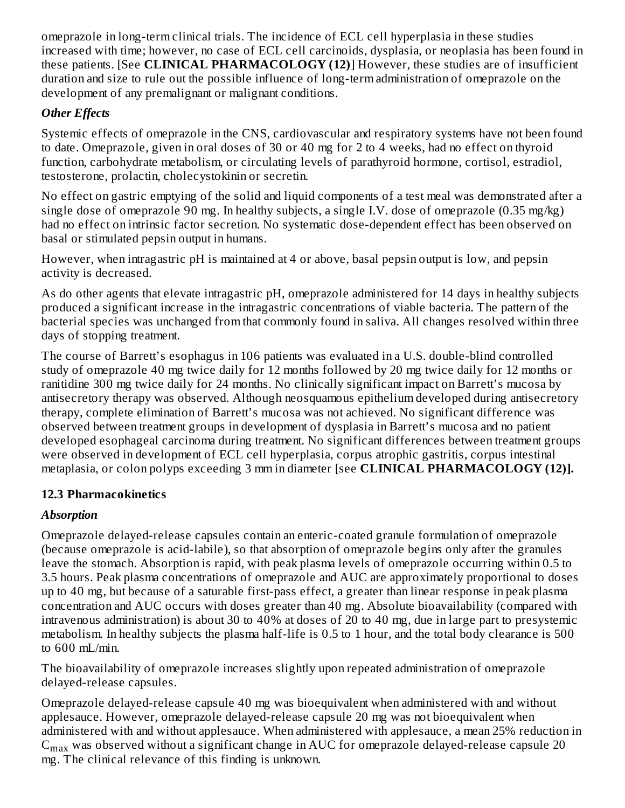omeprazole in long-term clinical trials. The incidence of ECL cell hyperplasia in these studies increased with time; however, no case of ECL cell carcinoids, dysplasia, or neoplasia has been found in these patients. [See **CLINICAL PHARMACOLOGY (12)**] However, these studies are of insufficient duration and size to rule out the possible influence of long-term administration of omeprazole on the development of any premalignant or malignant conditions.

# *Other Effects*

Systemic effects of omeprazole in the CNS, cardiovascular and respiratory systems have not been found to date. Omeprazole, given in oral doses of 30 or 40 mg for 2 to 4 weeks, had no effect on thyroid function, carbohydrate metabolism, or circulating levels of parathyroid hormone, cortisol, estradiol, testosterone, prolactin, cholecystokinin or secretin.

No effect on gastric emptying of the solid and liquid components of a test meal was demonstrated after a single dose of omeprazole 90 mg. In healthy subjects, a single I.V. dose of omeprazole (0.35 mg/kg) had no effect on intrinsic factor secretion. No systematic dose-dependent effect has been observed on basal or stimulated pepsin output in humans.

However, when intragastric pH is maintained at 4 or above, basal pepsin output is low, and pepsin activity is decreased.

As do other agents that elevate intragastric pH, omeprazole administered for 14 days in healthy subjects produced a significant increase in the intragastric concentrations of viable bacteria. The pattern of the bacterial species was unchanged from that commonly found in saliva. All changes resolved within three days of stopping treatment.

The course of Barrett's esophagus in 106 patients was evaluated in a U.S. double-blind controlled study of omeprazole 40 mg twice daily for 12 months followed by 20 mg twice daily for 12 months or ranitidine 300 mg twice daily for 24 months. No clinically significant impact on Barrett's mucosa by antisecretory therapy was observed. Although neosquamous epithelium developed during antisecretory therapy, complete elimination of Barrett's mucosa was not achieved. No significant difference was observed between treatment groups in development of dysplasia in Barrett's mucosa and no patient developed esophageal carcinoma during treatment. No significant differences between treatment groups were observed in development of ECL cell hyperplasia, corpus atrophic gastritis, corpus intestinal metaplasia, or colon polyps exceeding 3 mm in diameter [see **CLINICAL PHARMACOLOGY (12)].**

## **12.3 Pharmacokinetics**

## *Absorption*

Omeprazole delayed-release capsules contain an enteric-coated granule formulation of omeprazole (because omeprazole is acid-labile), so that absorption of omeprazole begins only after the granules leave the stomach. Absorption is rapid, with peak plasma levels of omeprazole occurring within 0.5 to 3.5 hours. Peak plasma concentrations of omeprazole and AUC are approximately proportional to doses up to 40 mg, but because of a saturable first-pass effect, a greater than linear response in peak plasma concentration and AUC occurs with doses greater than 40 mg. Absolute bioavailability (compared with intravenous administration) is about 30 to 40% at doses of 20 to 40 mg, due in large part to presystemic metabolism. In healthy subjects the plasma half-life is 0.5 to 1 hour, and the total body clearance is 500 to 600 mL/min.

The bioavailability of omeprazole increases slightly upon repeated administration of omeprazole delayed-release capsules.

Omeprazole delayed-release capsule 40 mg was bioequivalent when administered with and without applesauce. However, omeprazole delayed-release capsule 20 mg was not bioequivalent when administered with and without applesauce. When administered with applesauce, a mean 25% reduction in  $\mathsf{C}_{\max}$  was observed without a significant change in AUC for omeprazole delayed-release capsule 20 mg. The clinical relevance of this finding is unknown.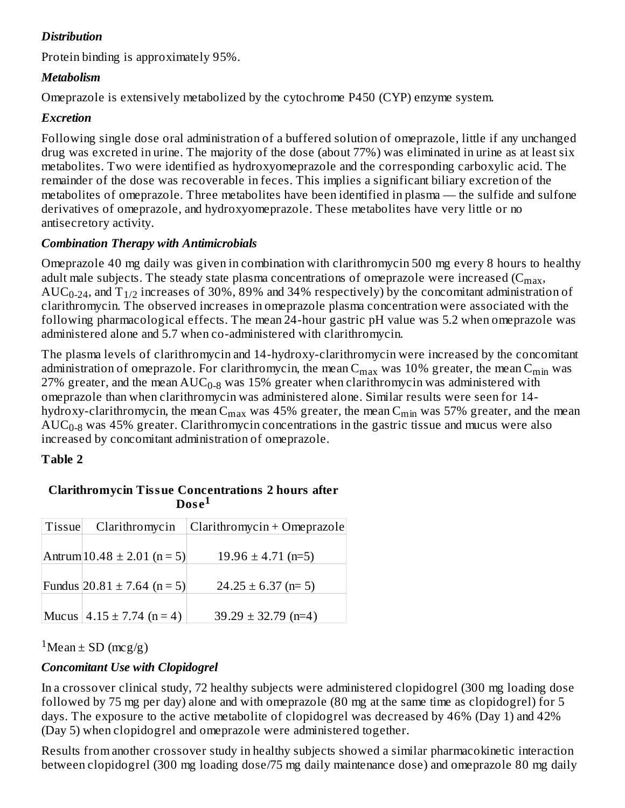# *Distribution*

Protein binding is approximately 95%.

## *Metabolism*

Omeprazole is extensively metabolized by the cytochrome P450 (CYP) enzyme system.

#### *Excretion*

Following single dose oral administration of a buffered solution of omeprazole, little if any unchanged drug was excreted in urine. The majority of the dose (about 77%) was eliminated in urine as at least six metabolites. Two were identified as hydroxyomeprazole and the corresponding carboxylic acid. The remainder of the dose was recoverable in feces. This implies a significant biliary excretion of the metabolites of omeprazole. Three metabolites have been identified in plasma — the sulfide and sulfone derivatives of omeprazole, and hydroxyomeprazole. These metabolites have very little or no antisecretory activity.

## *Combination Therapy with Antimicrobials*

Omeprazole 40 mg daily was given in combination with clarithromycin 500 mg every 8 hours to healthy adult male subjects. The steady state plasma concentrations of omeprazole were increased (C $_{\rm max}$ ,  $\mathrm{AUC_{0\text{-}24}}$ , and  $\mathrm{T_{1/2}}$  increases of 30%, 89% and 34% respectively) by the concomitant administration of clarithromycin. The observed increases in omeprazole plasma concentration were associated with the following pharmacological effects. The mean 24-hour gastric pH value was 5.2 when omeprazole was administered alone and 5.7 when co-administered with clarithromycin.

The plasma levels of clarithromycin and 14-hydroxy-clarithromycin were increased by the concomitant administration of omeprazole. For clarithromycin, the mean  $\rm{C_{max}}$  was  $10\%$  greater, the mean  $\rm{C_{min}}$  was 27% greater, and the mean  $\mathrm{AUC_{0-8}}$  was 15% greater when clarithromycin was administered with omeprazole than when clarithromycin was administered alone. Similar results were seen for 14 hydroxy-clarithromycin, the mean C<sub>max</sub> was 45% greater, the mean C<sub>min</sub> was 57% greater, and the mean  $\mathrm{AUC_{0-8}}$  was 45% greater. Clarithromycin concentrations in the gastric tissue and mucus were also increased by concomitant administration of omeprazole.

## **Table 2**

| Tissue | Clarithromycin                   | Clarithromycin + Omeprazole |
|--------|----------------------------------|-----------------------------|
|        |                                  |                             |
|        | Antrum $10.48 \pm 2.01$ (n = 5)  | $19.96 \pm 4.71$ (n=5)      |
|        |                                  |                             |
|        | Fundus $ 20.81 \pm 7.64$ (n = 5) | $24.25 \pm 6.37$ (n= 5)     |
|        |                                  |                             |
|        | Mucus $4.15 \pm 7.74$ (n = 4)    | $39.29 \pm 32.79$ (n=4)     |

#### **Clarithromycin Tissue Concentrations 2 hours after**  $\bf{Dose^1}$

 $1$ Mean  $\pm$  SD (mcg/g)

## *Concomitant Use with Clopidogrel*

In a crossover clinical study, 72 healthy subjects were administered clopidogrel (300 mg loading dose followed by 75 mg per day) alone and with omeprazole (80 mg at the same time as clopidogrel) for 5 days. The exposure to the active metabolite of clopidogrel was decreased by 46% (Day 1) and 42% (Day 5) when clopidogrel and omeprazole were administered together.

Results from another crossover study in healthy subjects showed a similar pharmacokinetic interaction between clopidogrel (300 mg loading dose/75 mg daily maintenance dose) and omeprazole 80 mg daily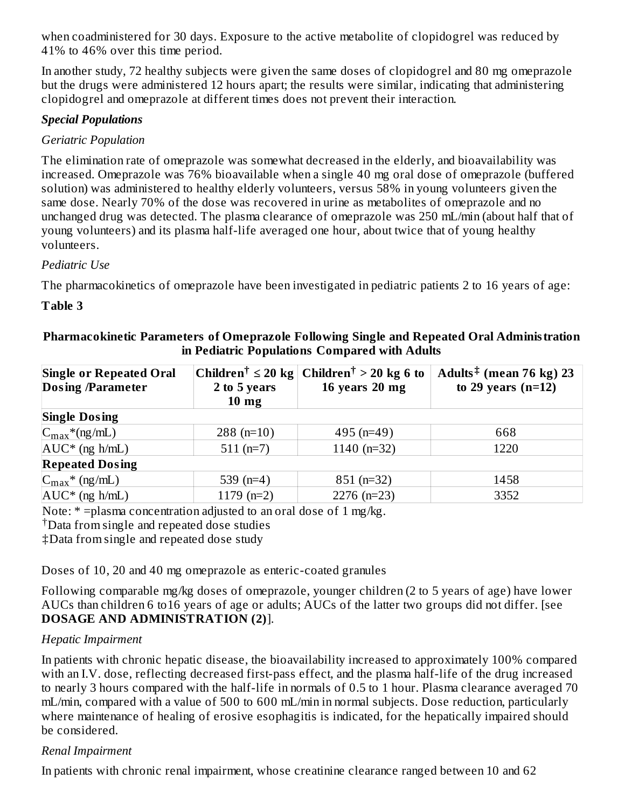when coadministered for 30 days. Exposure to the active metabolite of clopidogrel was reduced by 41% to 46% over this time period.

In another study, 72 healthy subjects were given the same doses of clopidogrel and 80 mg omeprazole but the drugs were administered 12 hours apart; the results were similar, indicating that administering clopidogrel and omeprazole at different times does not prevent their interaction.

#### *Special Populations*

#### *Geriatric Population*

The elimination rate of omeprazole was somewhat decreased in the elderly, and bioavailability was increased. Omeprazole was 76% bioavailable when a single 40 mg oral dose of omeprazole (buffered solution) was administered to healthy elderly volunteers, versus 58% in young volunteers given the same dose. Nearly 70% of the dose was recovered in urine as metabolites of omeprazole and no unchanged drug was detected. The plasma clearance of omeprazole was 250 mL/min (about half that of young volunteers) and its plasma half-life averaged one hour, about twice that of young healthy volunteers.

#### *Pediatric Use*

The pharmacokinetics of omeprazole have been investigated in pediatric patients 2 to 16 years of age:

#### **Table 3**

| <b>Single or Repeated Oral</b> |                 | Children <sup>†</sup> $\leq 20$ kg Children <sup>†</sup> > 20 kg 6 to | Adults <sup><math>‡</math></sup> (mean 76 kg) 23 |
|--------------------------------|-----------------|-----------------------------------------------------------------------|--------------------------------------------------|
| <b>Dosing /Parameter</b>       | 2 to 5 years    | 16 years 20 mg                                                        | to 29 years $(n=12)$                             |
|                                | $10 \text{ mg}$ |                                                                       |                                                  |
| <b>Single Dosing</b>           |                 |                                                                       |                                                  |
| $C_{\text{max}}$ *(ng/mL)      | $288$ (n=10)    | $495$ (n=49)                                                          | 668                                              |
| $AUC^*$ (ng h/mL)              | $511(n=7)$      | 1140 ( $n=32$ )                                                       | 1220                                             |
| <b>Repeated Dosing</b>         |                 |                                                                       |                                                  |
| $C_{\text{max}}$ * (ng/mL)     | 539 $(n=4)$     | $851$ (n=32)                                                          | 1458                                             |
| $AUC^*$ (ng h/mL)              | $1179$ (n=2)    | $2276$ (n=23)                                                         | 3352                                             |

#### **Pharmacokinetic Parameters of Omeprazole Following Single and Repeated Oral Administration in Pediatric Populations Compared with Adults**

Note: \* = plasma concentration adjusted to an oral dose of 1 mg/kg.

Data from single and repeated dose studies †

‡Data from single and repeated dose study

Doses of 10, 20 and 40 mg omeprazole as enteric-coated granules

Following comparable mg/kg doses of omeprazole, younger children (2 to 5 years of age) have lower AUCs than children 6 to16 years of age or adults; AUCs of the latter two groups did not differ. [see **DOSAGE AND ADMINISTRATION (2)**].

## *Hepatic Impairment*

In patients with chronic hepatic disease, the bioavailability increased to approximately 100% compared with an I.V. dose, reflecting decreased first-pass effect, and the plasma half-life of the drug increased to nearly 3 hours compared with the half-life in normals of 0.5 to 1 hour. Plasma clearance averaged 70 mL/min, compared with a value of 500 to 600 mL/min in normal subjects. Dose reduction, particularly where maintenance of healing of erosive esophagitis is indicated, for the hepatically impaired should be considered.

## *Renal Impairment*

In patients with chronic renal impairment, whose creatinine clearance ranged between 10 and 62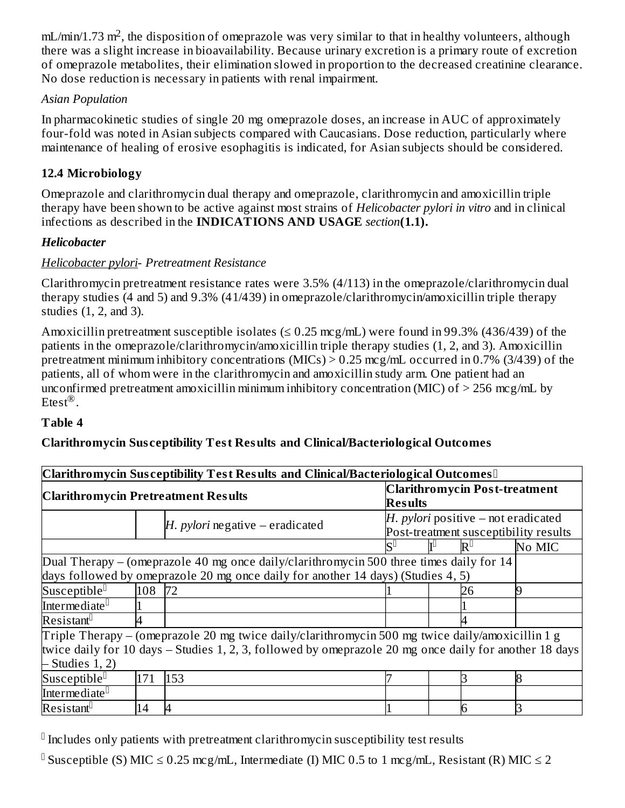$mL/min/1.73 m^2$ , the disposition of omeprazole was very similar to that in healthy volunteers, although there was a slight increase in bioavailability. Because urinary excretion is a primary route of excretion of omeprazole metabolites, their elimination slowed in proportion to the decreased creatinine clearance. No dose reduction is necessary in patients with renal impairment.

#### *Asian Population*

In pharmacokinetic studies of single 20 mg omeprazole doses, an increase in AUC of approximately four-fold was noted in Asian subjects compared with Caucasians. Dose reduction, particularly where maintenance of healing of erosive esophagitis is indicated, for Asian subjects should be considered.

## **12.4 Microbiology**

Omeprazole and clarithromycin dual therapy and omeprazole, clarithromycin and amoxicillin triple therapy have been shown to be active against most strains of *Helicobacter pylori in vitro* and in clinical infections as described in the **INDICATIONS AND USAGE** *section***(1.1).**

#### *Helicobacter*

#### *Helicobacter pylori*- *Pretreatment Resistance*

Clarithromycin pretreatment resistance rates were 3.5% (4/113) in the omeprazole/clarithromycin dual therapy studies (4 and 5) and 9.3% (41/439) in omeprazole/clarithromycin/amoxicillin triple therapy studies (1, 2, and 3).

Amoxicillin pretreatment susceptible isolates ( $\leq 0.25$  mcg/mL) were found in 99.3% (436/439) of the patients in the omeprazole/clarithromycin/amoxicillin triple therapy studies (1, 2, and 3). Amoxicillin pretreatment minimum inhibitory concentrations (MICs) > 0.25 mcg/mL occurred in 0.7% (3/439) of the patients, all of whom were in the clarithromycin and amoxicillin study arm. One patient had an unconfirmed pretreatment amoxicillin minimum inhibitory concentration (MIC) of  $>$  256 mcg/mL by Etest $^{\circledR}$ .

#### **Table 4**

## **Clarithromycin Sus ceptibility Test Results and Clinical/Bacteriological Outcomes**

|                                                                                                                                                                                                            |        | Clarithromycin Susceptibility Test Results and Clinical/Bacteriological Outcomes                                                                                            |                                                                                |  |                                      |        |
|------------------------------------------------------------------------------------------------------------------------------------------------------------------------------------------------------------|--------|-----------------------------------------------------------------------------------------------------------------------------------------------------------------------------|--------------------------------------------------------------------------------|--|--------------------------------------|--------|
| <b>Clarithromycin Pretreatment Results</b>                                                                                                                                                                 |        |                                                                                                                                                                             | <b>Results</b>                                                                 |  | <b>Clarithromycin Post-treatment</b> |        |
|                                                                                                                                                                                                            |        | $H.$ pylori negative – eradicated                                                                                                                                           | $H.$ pylori positive – not eradicated<br>Post-treatment susceptibility results |  |                                      |        |
|                                                                                                                                                                                                            |        |                                                                                                                                                                             | lS⊔                                                                            |  | $\mathbf{R}^{\mathsf{L}}$            | No MIC |
|                                                                                                                                                                                                            |        | Dual Therapy - (omeprazole 40 mg once daily/clarithromycin 500 three times daily for 14<br>days followed by omeprazole 20 mg once daily for another 14 days) (Studies 4, 5) |                                                                                |  |                                      |        |
| Susceptible <sup>[]</sup>                                                                                                                                                                                  | 108 72 |                                                                                                                                                                             |                                                                                |  | 26                                   |        |
| Intermediate <sup>[]</sup>                                                                                                                                                                                 |        |                                                                                                                                                                             |                                                                                |  |                                      |        |
| Resistant <sup>[]</sup>                                                                                                                                                                                    |        |                                                                                                                                                                             |                                                                                |  |                                      |        |
| Triple Therapy – (omeprazole 20 mg twice daily/clarithromycin 500 mg twice daily/amoxicillin 1 g<br>twice daily for 10 days – Studies 1, 2, 3, followed by omeprazole 20 mg once daily for another 18 days |        |                                                                                                                                                                             |                                                                                |  |                                      |        |
| $-$ Studies 1, 2)                                                                                                                                                                                          |        |                                                                                                                                                                             |                                                                                |  |                                      |        |
| Susceptible <sup>[]</sup>                                                                                                                                                                                  | 171    | 153                                                                                                                                                                         |                                                                                |  |                                      |        |
| Intermediate <sup>[]</sup>                                                                                                                                                                                 |        |                                                                                                                                                                             |                                                                                |  |                                      |        |
| Resistant <sup>[]</sup>                                                                                                                                                                                    | 14     |                                                                                                                                                                             |                                                                                |  |                                      |        |

 $\mathbb I$  Includes only patients with pretreatment clarithromycin susceptibility test results

<sup>0</sup> Susceptible (S) MIC ≤ 0.25 mcg/mL, Intermediate (I) MIC 0.5 to 1 mcg/mL, Resistant (R) MIC ≤ 2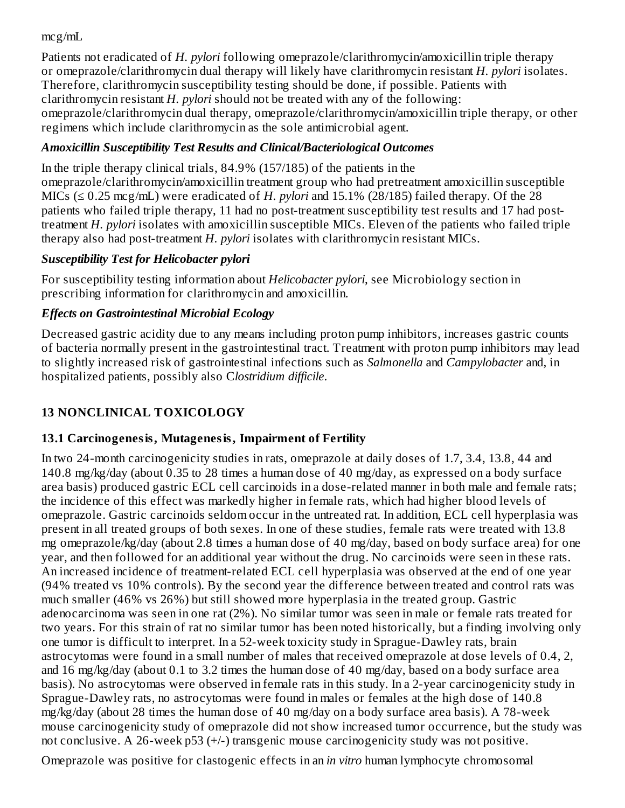mcg/mL

Patients not eradicated of *H. pylori* following omeprazole/clarithromycin/amoxicillin triple therapy or omeprazole/clarithromycin dual therapy will likely have clarithromycin resistant *H. pylori* isolates. Therefore, clarithromycin susceptibility testing should be done, if possible. Patients with clarithromycin resistant *H. pylori* should not be treated with any of the following: omeprazole/clarithromycin dual therapy, omeprazole/clarithromycin/amoxicillin triple therapy, or other regimens which include clarithromycin as the sole antimicrobial agent.

# *Amoxicillin Susceptibility Test Results and Clinical/Bacteriological Outcomes*

In the triple therapy clinical trials, 84.9% (157/185) of the patients in the omeprazole/clarithromycin/amoxicillin treatment group who had pretreatment amoxicillin susceptible MICs (≤ 0.25 mcg/mL) were eradicated of *H. pylori* and 15.1% (28/185) failed therapy. Of the 28 patients who failed triple therapy, 11 had no post-treatment susceptibility test results and 17 had posttreatment *H. pylori* isolates with amoxicillin susceptible MICs. Eleven of the patients who failed triple therapy also had post-treatment *H. pylori* isolates with clarithromycin resistant MICs.

# *Susceptibility Test for Helicobacter pylori*

For susceptibility testing information about *Helicobacter pylori*, see Microbiology section in prescribing information for clarithromycin and amoxicillin.

# *Effects on Gastrointestinal Microbial Ecology*

Decreased gastric acidity due to any means including proton pump inhibitors, increases gastric counts of bacteria normally present in the gastrointestinal tract. Treatment with proton pump inhibitors may lead to slightly increased risk of gastrointestinal infections such as *Salmonella* and *Campylobacter* and*,* in hospitalized patients, possibly also C*lostridium difficile*.

# **13 NONCLINICAL TOXICOLOGY**

# **13.1 Carcinogenesis, Mutagenesis, Impairment of Fertility**

In two 24-month carcinogenicity studies in rats, omeprazole at daily doses of 1.7, 3.4, 13.8, 44 and 140.8 mg/kg/day (about 0.35 to 28 times a human dose of 40 mg/day, as expressed on a body surface area basis) produced gastric ECL cell carcinoids in a dose-related manner in both male and female rats; the incidence of this effect was markedly higher in female rats, which had higher blood levels of omeprazole. Gastric carcinoids seldom occur in the untreated rat. In addition, ECL cell hyperplasia was present in all treated groups of both sexes. In one of these studies, female rats were treated with 13.8 mg omeprazole/kg/day (about 2.8 times a human dose of 40 mg/day, based on body surface area) for one year, and then followed for an additional year without the drug. No carcinoids were seen in these rats. An increased incidence of treatment-related ECL cell hyperplasia was observed at the end of one year (94% treated vs 10% controls). By the second year the difference between treated and control rats was much smaller (46% vs 26%) but still showed more hyperplasia in the treated group. Gastric adenocarcinoma was seen in one rat (2%). No similar tumor was seen in male or female rats treated for two years. For this strain of rat no similar tumor has been noted historically, but a finding involving only one tumor is difficult to interpret. In a 52-week toxicity study in Sprague-Dawley rats, brain astrocytomas were found in a small number of males that received omeprazole at dose levels of 0.4, 2, and 16 mg/kg/day (about 0.1 to 3.2 times the human dose of 40 mg/day, based on a body surface area basis). No astrocytomas were observed in female rats in this study. In a 2-year carcinogenicity study in Sprague-Dawley rats, no astrocytomas were found in males or females at the high dose of 140.8 mg/kg/day (about 28 times the human dose of 40 mg/day on a body surface area basis). A 78-week mouse carcinogenicity study of omeprazole did not show increased tumor occurrence, but the study was not conclusive. A 26-week p53 (+/-) transgenic mouse carcinogenicity study was not positive.

Omeprazole was positive for clastogenic effects in an *in vitro* human lymphocyte chromosomal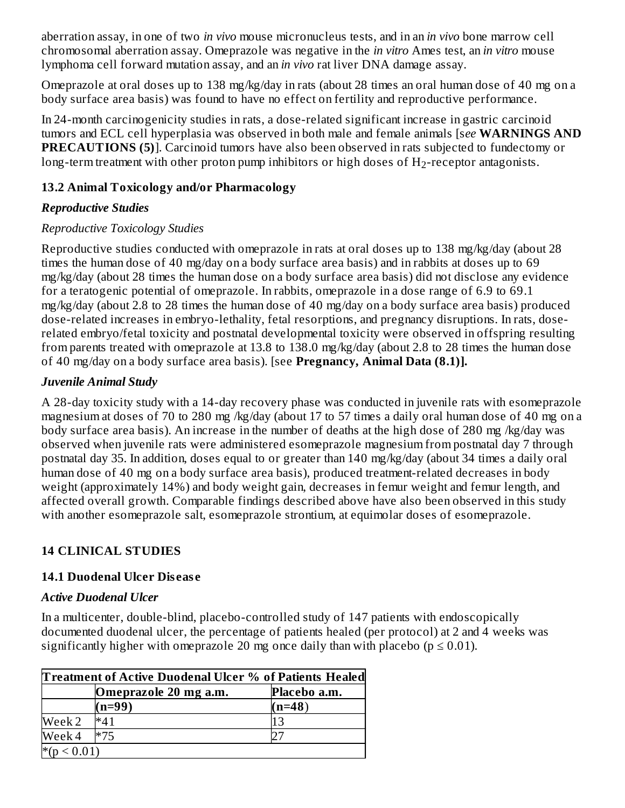aberration assay, in one of two *in vivo* mouse micronucleus tests, and in an *in vivo* bone marrow cell chromosomal aberration assay. Omeprazole was negative in the *in vitro* Ames test, an *in vitro* mouse lymphoma cell forward mutation assay, and an *in vivo* rat liver DNA damage assay.

Omeprazole at oral doses up to 138 mg/kg/day in rats (about 28 times an oral human dose of 40 mg on a body surface area basis) was found to have no effect on fertility and reproductive performance.

In 24-month carcinogenicity studies in rats, a dose-related significant increase in gastric carcinoid tumors and ECL cell hyperplasia was observed in both male and female animals [s*ee* **WARNINGS AND PRECAUTIONS (5)**]. Carcinoid tumors have also been observed in rats subjected to fundectomy or long-term treatment with other proton pump inhibitors or high doses of  $\rm{H}_{2}$ -receptor antagonists.

#### **13.2 Animal Toxicology and/or Pharmacology**

## *Reproductive Studies*

## *Reproductive Toxicology Studies*

Reproductive studies conducted with omeprazole in rats at oral doses up to 138 mg/kg/day (about 28 times the human dose of 40 mg/day on a body surface area basis) and in rabbits at doses up to 69 mg/kg/day (about 28 times the human dose on a body surface area basis) did not disclose any evidence for a teratogenic potential of omeprazole. In rabbits, omeprazole in a dose range of 6.9 to 69.1 mg/kg/day (about 2.8 to 28 times the human dose of 40 mg/day on a body surface area basis) produced dose-related increases in embryo-lethality, fetal resorptions, and pregnancy disruptions. In rats, doserelated embryo/fetal toxicity and postnatal developmental toxicity were observed in offspring resulting from parents treated with omeprazole at 13.8 to 138.0 mg/kg/day (about 2.8 to 28 times the human dose of 40 mg/day on a body surface area basis). [see **Pregnancy, Animal Data (8.1)].**

## *Juvenile Animal Study*

A 28-day toxicity study with a 14-day recovery phase was conducted in juvenile rats with esomeprazole magnesium at doses of 70 to 280 mg /kg/day (about 17 to 57 times a daily oral human dose of 40 mg on a body surface area basis). An increase in the number of deaths at the high dose of 280 mg /kg/day was observed when juvenile rats were administered esomeprazole magnesium from postnatal day 7 through postnatal day 35. In addition, doses equal to or greater than 140 mg/kg/day (about 34 times a daily oral human dose of 40 mg on a body surface area basis), produced treatment-related decreases in body weight (approximately 14%) and body weight gain, decreases in femur weight and femur length, and affected overall growth. Comparable findings described above have also been observed in this study with another esomeprazole salt, esomeprazole strontium, at equimolar doses of esomeprazole.

## **14 CLINICAL STUDIES**

## **14.1 Duodenal Ulcer Dis eas e**

#### *Active Duodenal Ulcer*

In a multicenter, double-blind, placebo-controlled study of 147 patients with endoscopically documented duodenal ulcer, the percentage of patients healed (per protocol) at 2 and 4 weeks was significantly higher with omeprazole 20 mg once daily than with placebo ( $p \le 0.01$ ).

| Treatment of Active Duodenal Ulcer % of Patients Healed |          |          |  |  |
|---------------------------------------------------------|----------|----------|--|--|
| Placebo a.m.<br>Omeprazole 20 mg a.m.                   |          |          |  |  |
|                                                         | $(n=99)$ | $(n=48)$ |  |  |
| Week 2                                                  | $*41$    | 13       |  |  |
| Week 4                                                  | $*75$    |          |  |  |
| ${}_{0.01}$                                             |          |          |  |  |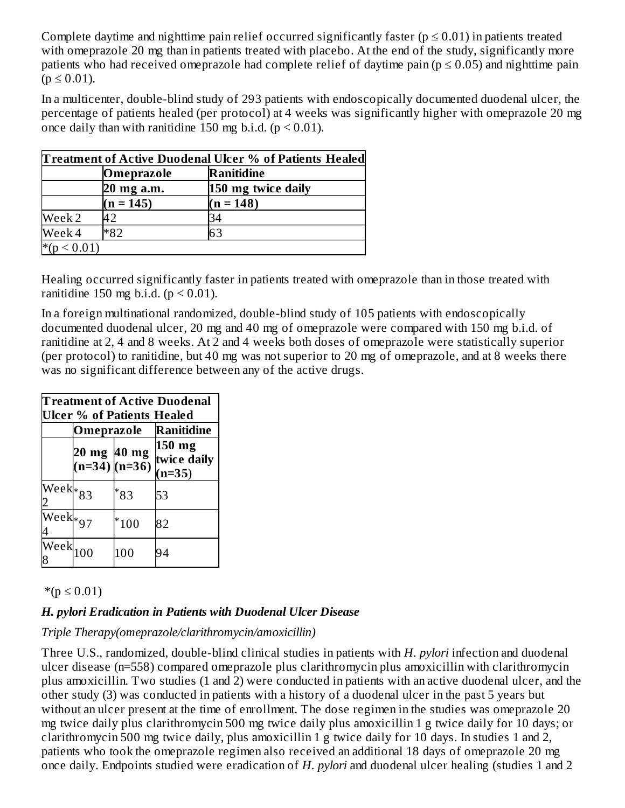Complete daytime and nighttime pain relief occurred significantly faster ( $p \le 0.01$ ) in patients treated with omeprazole 20 mg than in patients treated with placebo. At the end of the study, significantly more patients who had received omeprazole had complete relief of daytime pain ( $p \le 0.05$ ) and nighttime pain  $(p \le 0.01)$ .

In a multicenter, double-blind study of 293 patients with endoscopically documented duodenal ulcer, the percentage of patients healed (per protocol) at 4 weeks was significantly higher with omeprazole 20 mg once daily than with ranitidine 150 mg b.i.d.  $(p < 0.01)$ .

| Treatment of Active Duodenal Ulcer % of Patients Healed |             |                    |  |
|---------------------------------------------------------|-------------|--------------------|--|
|                                                         | Omeprazole  | <b>Ranitidine</b>  |  |
|                                                         | 20 mg a.m.  | 150 mg twice daily |  |
|                                                         | $(n = 145)$ | $(n = 148)$        |  |
| Week 2                                                  | 42          | 34                 |  |
| Week 4                                                  | *82         | 63                 |  |
| $*_{(n)}$<br>${}_{0.01}$                                |             |                    |  |

Healing occurred significantly faster in patients treated with omeprazole than in those treated with ranitidine 150 mg b.i.d.  $(p < 0.01)$ .

In a foreign multinational randomized, double-blind study of 105 patients with endoscopically documented duodenal ulcer, 20 mg and 40 mg of omeprazole were compared with 150 mg b.i.d. of ranitidine at 2, 4 and 8 weeks. At 2 and 4 weeks both doses of omeprazole were statistically superior (per protocol) to ranitidine, but 40 mg was not superior to 20 mg of omeprazole, and at 8 weeks there was no significant difference between any of the active drugs.

| <b>Treatment of Active Duodenal</b><br><b>Ulcer % of Patients Healed</b> |                                  |        |                                     |  |  |
|--------------------------------------------------------------------------|----------------------------------|--------|-------------------------------------|--|--|
|                                                                          | Omeprazole                       |        | Ranitidine                          |  |  |
|                                                                          | 20 mg 40 mg<br>$(n=34)$ $(n=36)$ |        | $150$ mg<br>twice daily<br>$(n=35)$ |  |  |
| Week*83                                                                  |                                  | *83    | 53                                  |  |  |
| Weekk <sub>*97</sub>                                                     |                                  | $*100$ | 82                                  |  |  |
| Week $\begin{matrix} 100 \end{matrix}$                                   |                                  | 100    | 94                                  |  |  |

 $*(p ≤ 0.01)$ 

#### *H. pylori Eradication in Patients with Duodenal Ulcer Disease*

#### *Triple Therapy(omeprazole/clarithromycin/amoxicillin)*

Three U.S., randomized, double-blind clinical studies in patients with *H. pylori* infection and duodenal ulcer disease (n=558) compared omeprazole plus clarithromycin plus amoxicillin with clarithromycin plus amoxicillin. Two studies (1 and 2) were conducted in patients with an active duodenal ulcer, and the other study (3) was conducted in patients with a history of a duodenal ulcer in the past 5 years but without an ulcer present at the time of enrollment. The dose regimen in the studies was omeprazole 20 mg twice daily plus clarithromycin 500 mg twice daily plus amoxicillin 1 g twice daily for 10 days; or clarithromycin 500 mg twice daily, plus amoxicillin 1 g twice daily for 10 days. In studies 1 and 2, patients who took the omeprazole regimen also received an additional 18 days of omeprazole 20 mg once daily. Endpoints studied were eradication of *H. pylori* and duodenal ulcer healing (studies 1 and 2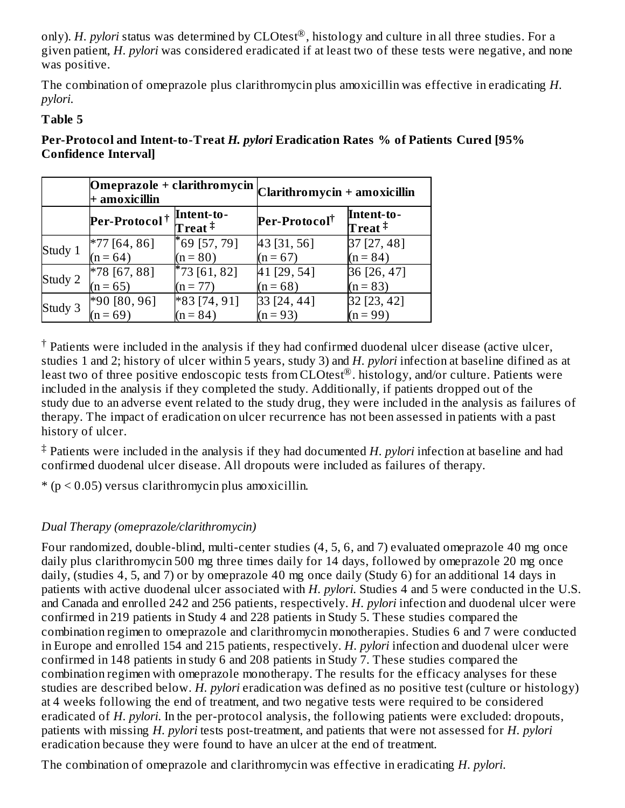only). *H. pylori* status was determined by CLOtest $^{\circledR}$ , histology and culture in all three studies. For a given patient, *H. pylori* was considered eradicated if at least two of these tests were negative, and none was positive.

The combination of omeprazole plus clarithromycin plus amoxicillin was effective in eradicating *H. pylori*.

#### **Table 5**

|         | $+$ amoxicillin           |                                                | $\boxed{\textbf{Omega}}$ o i + clarithromycin $\boxed{\textbf{Clarithromycin + amoxicillin}}$ |                                              |  |
|---------|---------------------------|------------------------------------------------|-----------------------------------------------------------------------------------------------|----------------------------------------------|--|
|         | Per-Protocol <sup>†</sup> | Intent-to-<br>${\rm \bf Tr}$ eat $^{\ddagger}$ | Per-Protocol <sup>†</sup>                                                                     | Intent-to-<br>$\mathbf T$ reat $^{\ddagger}$ |  |
| Study 1 | $*77[64, 86]$             | $*69$ [57, 79]                                 | 43 [31, 56]                                                                                   | 37 [27, 48]                                  |  |
|         | $(n = 64)$                | $(n = 80)$                                     | $(n = 67)$                                                                                    | $(n = 84)$                                   |  |
| Study 2 | $*78$ [67, 88]            | $*73$ [61, 82]                                 | 41 [29, 54]                                                                                   | 36 [26, 47]                                  |  |
|         | $(n = 65)$                | $(n = 77)$                                     | $(n = 68)$                                                                                    | $(n = 83)$                                   |  |
| Study 3 | $*90[80, 96]$             | $*83[74, 91]$                                  | 33 [24, 44]                                                                                   | 32 [23, 42]                                  |  |
|         | $(n = 69)$                | $(n = 84)$                                     | $(n = 93)$                                                                                    | $(n = 99)$                                   |  |

**Per-Protocol and Intent-to-Treat** *H. pylori* **Eradication Rates % of Patients Cured [95% Confidence Interval]**

 $^\dagger$  Patients were included in the analysis if they had confirmed duodenal ulcer disease (active ulcer, studies 1 and 2; history of ulcer within 5 years, study 3) and *H. pylori* infection at baseline difined as at least two of three positive endoscopic tests from CLOtest®. histology, and/or culture. Patients were included in the analysis if they completed the study. Additionally, if patients dropped out of the study due to an adverse event related to the study drug, they were included in the analysis as failures of therapy. The impact of eradication on ulcer recurrence has not been assessed in patients with a past history of ulcer.

Patients were included in the analysis if they had documented *H. pylori* infection at baseline and had ‡confirmed duodenal ulcer disease. All dropouts were included as failures of therapy.

 $*(p < 0.05)$  versus clarithromycin plus amoxicillin.

# *Dual Therapy (omeprazole/clarithromycin)*

Four randomized, double-blind, multi-center studies (4, 5, 6, and 7) evaluated omeprazole 40 mg once daily plus clarithromycin 500 mg three times daily for 14 days, followed by omeprazole 20 mg once daily, (studies 4, 5, and 7) or by omeprazole 40 mg once daily (Study 6) for an additional 14 days in patients with active duodenal ulcer associated with *H. pylori*. Studies 4 and 5 were conducted in the U.S. and Canada and enrolled 242 and 256 patients, respectively. *H. pylori* infection and duodenal ulcer were confirmed in 219 patients in Study 4 and 228 patients in Study 5. These studies compared the combination regimen to omeprazole and clarithromycin monotherapies. Studies 6 and 7 were conducted in Europe and enrolled 154 and 215 patients, respectively. *H. pylori* infection and duodenal ulcer were confirmed in 148 patients in study 6 and 208 patients in Study 7. These studies compared the combination regimen with omeprazole monotherapy. The results for the efficacy analyses for these studies are described below. *H. pylori* eradication was defined as no positive test (culture or histology) at 4 weeks following the end of treatment, and two negative tests were required to be considered eradicated of *H. pylori*. In the per-protocol analysis, the following patients were excluded: dropouts, patients with missing *H. pylori* tests post-treatment, and patients that were not assessed for *H. pylori* eradication because they were found to have an ulcer at the end of treatment.

The combination of omeprazole and clarithromycin was effective in eradicating *H. pylori*.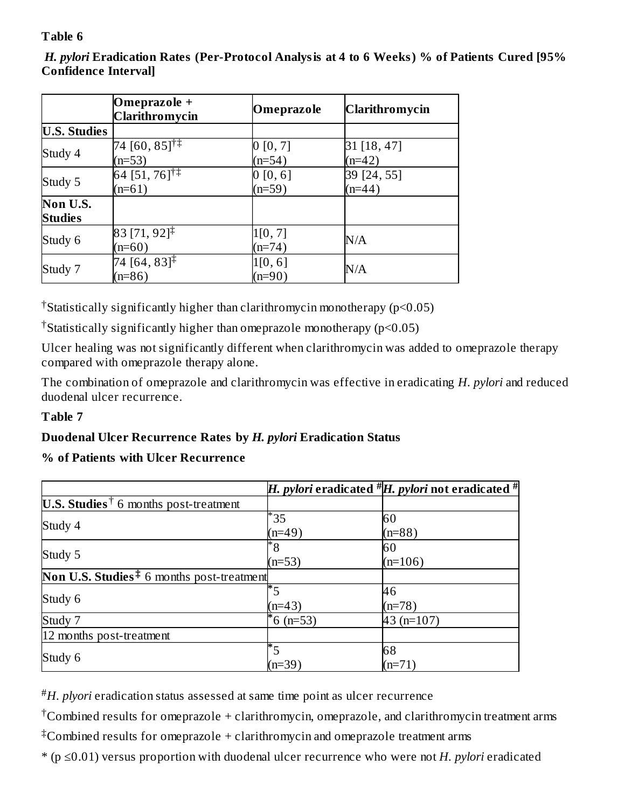## **Table 6**

*H. pylori* **Eradication Rates (Per-Protocol Analysis at 4 to 6 Weeks) % of Patients Cured [95% Confidence Interval]**

|                            | Omeprazole +<br><b>Clarithromycin</b>    | Omeprazole           | <b>Clarithromycin</b>   |
|----------------------------|------------------------------------------|----------------------|-------------------------|
| <b>U.S. Studies</b>        |                                          |                      |                         |
| Study 4                    | $74 [60, 85]$ <sup>†‡</sup><br>$(n=53)$  | 0 [0, 7]<br>$(n=54)$ | 31 [18, 47]<br>$(n=42)$ |
| Study 5                    | 64 [51, $76$ ] <sup>†‡</sup><br>$(n=61)$ | 0 [0, 6]<br>$(n=59)$ | 39 [24, 55]<br>$(n=44)$ |
| Non U.S.<br><b>Studies</b> |                                          |                      |                         |
| Study 6                    | $83$ [71, 92] <sup>‡</sup><br>$(n=60)$   | 1[0, 7]<br>$(n=74)$  | N/A                     |
| Study 7                    | $[74 [64, 83]^{1/2}]$<br>$(n=86)$        | 1[0, 6]<br>$(n=90)$  | $\rm N/A$               |

Statistically significantly higher than clarithromycin monotherapy (p<0.05) †

<sup>†</sup>Statistically significantly higher than omeprazole monotherapy ( $p$ <0.05)

Ulcer healing was not significantly different when clarithromycin was added to omeprazole therapy compared with omeprazole therapy alone.

The combination of omeprazole and clarithromycin was effective in eradicating *H. pylori* and reduced duodenal ulcer recurrence.

#### **Table 7**

## **Duodenal Ulcer Recurrence Rates by** *H. pylori* **Eradication Status**

#### **% of Patients with Ulcer Recurrence**

|                                                          |                             | H. pylori eradicated $^{\#}H$ . pylori not eradicated $^{\#}$ |
|----------------------------------------------------------|-----------------------------|---------------------------------------------------------------|
| <b>U.S. Studies</b> <sup>†</sup> 6 months post-treatment |                             |                                                               |
| Study 4                                                  | $*_{35}$                    | 60                                                            |
|                                                          | $(n=49)$                    | $(n=88)$                                                      |
|                                                          | $^*8$                       | 60                                                            |
| Study 5                                                  | $(n=53)$                    | $(n=106)$                                                     |
| <b>Non U.S. Studies</b> $*$ 6 months post-treatment      |                             |                                                               |
|                                                          |                             | 46                                                            |
| Study 6                                                  | $(n=43)$                    | $(n=78)$                                                      |
| Study 7                                                  | $6(n=53)$                   | 43 $(n=107)$                                                  |
| 12 months post-treatment                                 |                             |                                                               |
|                                                          | $\overline{\phantom{a}^*5}$ | 68                                                            |
| Study 6                                                  | $(n=39)$                    | $(n=71)$                                                      |

*H. plyori* eradication status assessed at same time point as ulcer recurrence #

 $^\dagger$ Combined results for omeprazole + clarithromycin, omeprazole, and clarithromycin treatment arms

 $^\ddag$ Combined results for omeprazole + clarithromycin and omeprazole treatment arms

\* (p ≤0.01) versus proportion with duodenal ulcer recurrence who were not *H. pylori* eradicated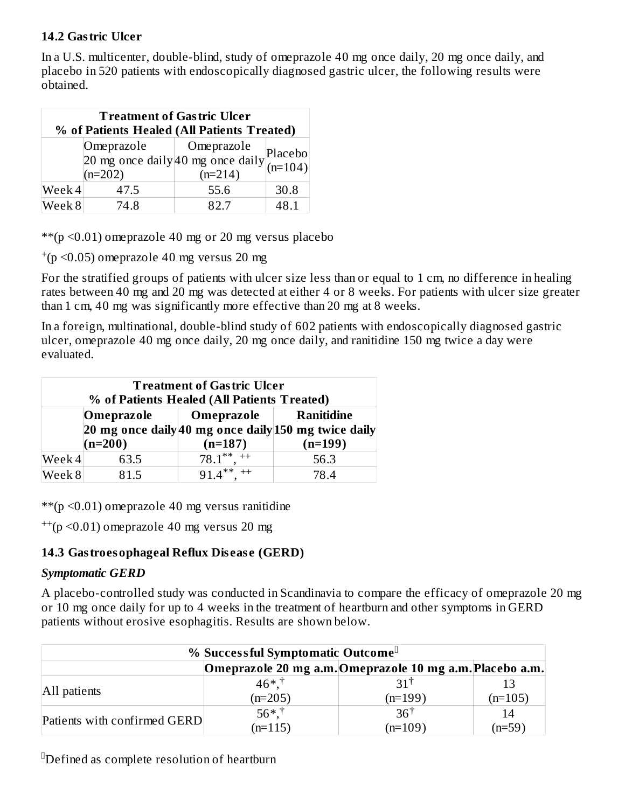#### **14.2 Gastric Ulcer**

In a U.S. multicenter, double-blind, study of omeprazole 40 mg once daily, 20 mg once daily, and placebo in 520 patients with endoscopically diagnosed gastric ulcer, the following results were obtained.

| <b>Treatment of Gastric Ulcer</b><br>% of Patients Healed (All Patients Treated) |                         |                                                                                                                                        |      |  |
|----------------------------------------------------------------------------------|-------------------------|----------------------------------------------------------------------------------------------------------------------------------------|------|--|
|                                                                                  | Omeprazole<br>$(n=202)$ | Omeprazole<br>Offeprazore<br>20 mg once daily 40 mg once daily $\begin{bmatrix} p_{\text{lace}} \\ (n=104) \end{bmatrix}$<br>$(n=214)$ |      |  |
| Week 4                                                                           | 47.5                    | 55.6                                                                                                                                   | 30.8 |  |
| Week 8                                                                           | 74.8                    | 82.7                                                                                                                                   | 48.1 |  |

 $**$ (p < 0.01) omeprazole 40 mg or 20 mg versus placebo

 $^{+}(p \le 0.05)$  omeprazole 40 mg versus 20 mg

For the stratified groups of patients with ulcer size less than or equal to 1 cm, no difference in healing rates between 40 mg and 20 mg was detected at either 4 or 8 weeks. For patients with ulcer size greater than 1 cm, 40 mg was significantly more effective than 20 mg at 8 weeks.

In a foreign, multinational, double-blind study of 602 patients with endoscopically diagnosed gastric ulcer, omeprazole 40 mg once daily, 20 mg once daily, and ranitidine 150 mg twice a day were evaluated.

| <b>Treatment of Gastric Ulcer</b><br>% of Patients Healed (All Patients Treated) |                                                                                                       |                      |           |  |  |
|----------------------------------------------------------------------------------|-------------------------------------------------------------------------------------------------------|----------------------|-----------|--|--|
|                                                                                  | <b>Ranitidine</b><br>Omeprazole<br>Omeprazole<br>20 mg once daily 40 mg once daily 150 mg twice daily |                      |           |  |  |
|                                                                                  | $(n=200)$                                                                                             | $(n=187)$            | $(n=199)$ |  |  |
| Week 4                                                                           | 63.5                                                                                                  | $78.1***$            | 56.3      |  |  |
| Week 8                                                                           | 81.5                                                                                                  | $91.4***$<br>$^{++}$ | 78.4      |  |  |

\*\*( $p$  <0.01) omeprazole 40 mg versus ranitidine

 $^{++}$ (p < 0.01) omeprazole 40 mg versus 20 mg

#### **14.3 Gastroesophageal Reflux Dis eas e (GERD)**

#### *Symptomatic GERD*

A placebo-controlled study was conducted in Scandinavia to compare the efficacy of omeprazole 20 mg or 10 mg once daily for up to 4 weeks in the treatment of heartburn and other symptoms in GERD patients without erosive esophagitis. Results are shown below.

| % Successful Symptomatic Outcome |                                                          |                |           |  |  |
|----------------------------------|----------------------------------------------------------|----------------|-----------|--|--|
|                                  | Omeprazole 20 mg a.m. Omeprazole 10 mg a.m. Placebo a.m. |                |           |  |  |
|                                  | $46*$ <sup>†</sup>                                       | 311            |           |  |  |
| All patients                     | $(n=205)$                                                | $(n=199)$      | $(n=105)$ |  |  |
|                                  | $56*$ <sup>†</sup>                                       | $36^{\dagger}$ | 14        |  |  |
| Patients with confirmed GERD     | $(n=115)$                                                | $(n=109)$      | $(n=59)$  |  |  |

 $^{\mathbb{I}}$ Defined as complete resolution of heartburn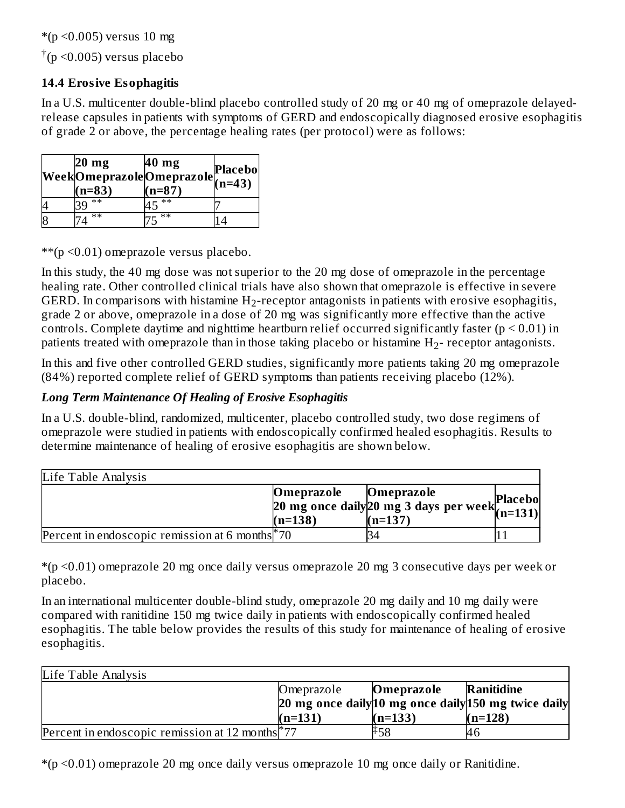$*(p \le 0.005)$  versus 10 mg

 $\dagger$ (p <0.005) versus placebo

#### **14.4 Erosive Esophagitis**

In a U.S. multicenter double-blind placebo controlled study of 20 mg or 40 mg of omeprazole delayedrelease capsules in patients with symptoms of GERD and endoscopically diagnosed erosive esophagitis of grade 2 or above, the percentage healing rates (per protocol) were as follows:

| $20 \text{ mg}$<br>$(n=83)$ | 40 mg<br>$Week \overline{O}$ meprazole $O$ meprazole $(n=43)$<br>$(n=87)$ | Placebo |
|-----------------------------|---------------------------------------------------------------------------|---------|
| $\ast\ast$                  | **                                                                        |         |
| $**$                        | $**$                                                                      |         |

\*\*(p <0.01) omeprazole versus placebo.

In this study, the 40 mg dose was not superior to the 20 mg dose of omeprazole in the percentage healing rate. Other controlled clinical trials have also shown that omeprazole is effective in severe GERD. In comparisons with histamine  $\rm H_2$ -receptor antagonists in patients with erosive esophagitis, grade 2 or above, omeprazole in a dose of 20 mg was significantly more effective than the active controls. Complete daytime and nighttime heartburn relief occurred significantly faster  $(p < 0.01)$  in patients treated with omeprazole than in those taking placebo or histamine  $\rm H_2$ - receptor antagonists.

In this and five other controlled GERD studies, significantly more patients taking 20 mg omeprazole (84%) reported complete relief of GERD symptoms than patients receiving placebo (12%).

#### *Long Term Maintenance Of Healing of Erosive Esophagitis*

In a U.S. double-blind, randomized, multicenter, placebo controlled study, two dose regimens of omeprazole were studied in patients with endoscopically confirmed healed esophagitis. Results to determine maintenance of healing of erosive esophagitis are shown below.

| Life Table Analysis                                         |                         |                                                                                 |  |
|-------------------------------------------------------------|-------------------------|---------------------------------------------------------------------------------|--|
|                                                             | Omeprazole<br>$(n=138)$ | Omeprazole<br>$20$ mg once daily $20$ mg 3 days per week $(n=131)$<br>$(n=137)$ |  |
| Percent in endoscopic remission at 6 months <sup>*</sup> 70 |                         |                                                                                 |  |

\*(p <0.01) omeprazole 20 mg once daily versus omeprazole 20 mg 3 consecutive days per week or placebo.

In an international multicenter double-blind study, omeprazole 20 mg daily and 10 mg daily were compared with ranitidine 150 mg twice daily in patients with endoscopically confirmed healed esophagitis. The table below provides the results of this study for maintenance of healing of erosive esophagitis.

| Life Table Analysis                                        |            |            |                                                      |
|------------------------------------------------------------|------------|------------|------------------------------------------------------|
|                                                            | Omeprazole | Omeprazole | Ranitidine                                           |
|                                                            |            |            | 20 mg once daily 10 mg once daily 150 mg twice daily |
|                                                            | $(n=131)$  | $(n=133)$  | $(n=128)$                                            |
| Percent in endoscopic remission at 12 months <sup>77</sup> |            | ∓58        | 46                                                   |

\*(p <0.01) omeprazole 20 mg once daily versus omeprazole 10 mg once daily or Ranitidine.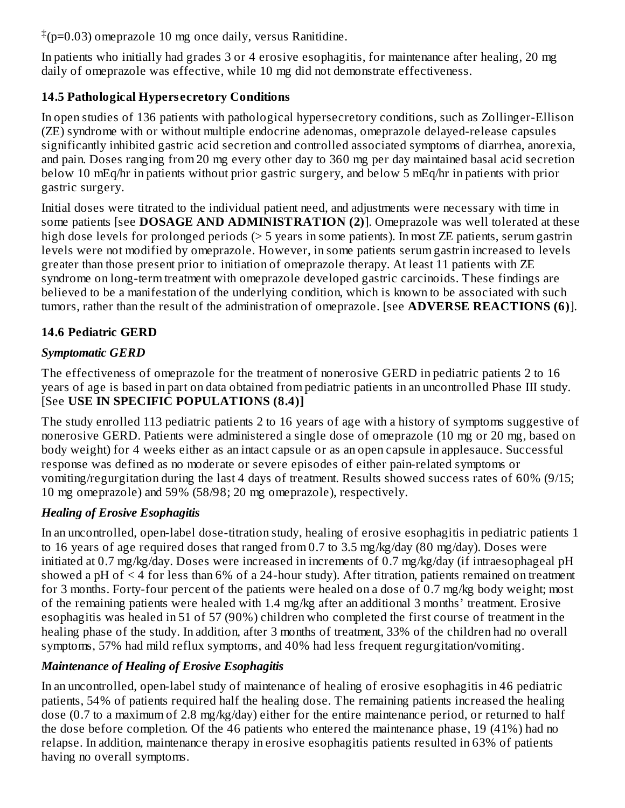$\pm$ (p=0.03) omeprazole 10 mg once daily, versus Ranitidine.

In patients who initially had grades 3 or 4 erosive esophagitis, for maintenance after healing, 20 mg daily of omeprazole was effective, while 10 mg did not demonstrate effectiveness.

# **14.5 Pathological Hypers ecretory Conditions**

In open studies of 136 patients with pathological hypersecretory conditions, such as Zollinger-Ellison (ZE) syndrome with or without multiple endocrine adenomas, omeprazole delayed-release capsules significantly inhibited gastric acid secretion and controlled associated symptoms of diarrhea, anorexia, and pain. Doses ranging from 20 mg every other day to 360 mg per day maintained basal acid secretion below 10 mEq/hr in patients without prior gastric surgery, and below 5 mEq/hr in patients with prior gastric surgery.

Initial doses were titrated to the individual patient need, and adjustments were necessary with time in some patients [see **DOSAGE AND ADMINISTRATION (2)**]. Omeprazole was well tolerated at these high dose levels for prolonged periods (> 5 years in some patients). In most ZE patients, serum gastrin levels were not modified by omeprazole. However, in some patients serum gastrin increased to levels greater than those present prior to initiation of omeprazole therapy. At least 11 patients with ZE syndrome on long-term treatment with omeprazole developed gastric carcinoids. These findings are believed to be a manifestation of the underlying condition, which is known to be associated with such tumors, rather than the result of the administration of omeprazole. [see **ADVERSE REACTIONS (6)**].

# **14.6 Pediatric GERD**

# *Symptomatic GERD*

The effectiveness of omeprazole for the treatment of nonerosive GERD in pediatric patients 2 to 16 years of age is based in part on data obtained from pediatric patients in an uncontrolled Phase III study. [See **USE IN SPECIFIC POPULATIONS (8.4)]**

The study enrolled 113 pediatric patients 2 to 16 years of age with a history of symptoms suggestive of nonerosive GERD. Patients were administered a single dose of omeprazole (10 mg or 20 mg, based on body weight) for 4 weeks either as an intact capsule or as an open capsule in applesauce. Successful response was defined as no moderate or severe episodes of either pain-related symptoms or vomiting/regurgitation during the last 4 days of treatment. Results showed success rates of 60% (9/15; 10 mg omeprazole) and 59% (58/98; 20 mg omeprazole), respectively.

# *Healing of Erosive Esophagitis*

In an uncontrolled, open-label dose-titration study, healing of erosive esophagitis in pediatric patients 1 to 16 years of age required doses that ranged from 0.7 to 3.5 mg/kg/day (80 mg/day). Doses were initiated at 0.7 mg/kg/day. Doses were increased in increments of 0.7 mg/kg/day (if intraesophageal pH showed a pH of < 4 for less than 6% of a 24-hour study). After titration, patients remained on treatment for 3 months. Forty-four percent of the patients were healed on a dose of 0.7 mg/kg body weight; most of the remaining patients were healed with 1.4 mg/kg after an additional 3 months' treatment. Erosive esophagitis was healed in 51 of 57 (90%) children who completed the first course of treatment in the healing phase of the study. In addition, after 3 months of treatment, 33% of the children had no overall symptoms, 57% had mild reflux symptoms, and 40% had less frequent regurgitation/vomiting.

# *Maintenance of Healing of Erosive Esophagitis*

In an uncontrolled, open-label study of maintenance of healing of erosive esophagitis in 46 pediatric patients, 54% of patients required half the healing dose. The remaining patients increased the healing dose (0.7 to a maximum of 2.8 mg/kg/day) either for the entire maintenance period, or returned to half the dose before completion. Of the 46 patients who entered the maintenance phase, 19 (41%) had no relapse. In addition, maintenance therapy in erosive esophagitis patients resulted in 63% of patients having no overall symptoms.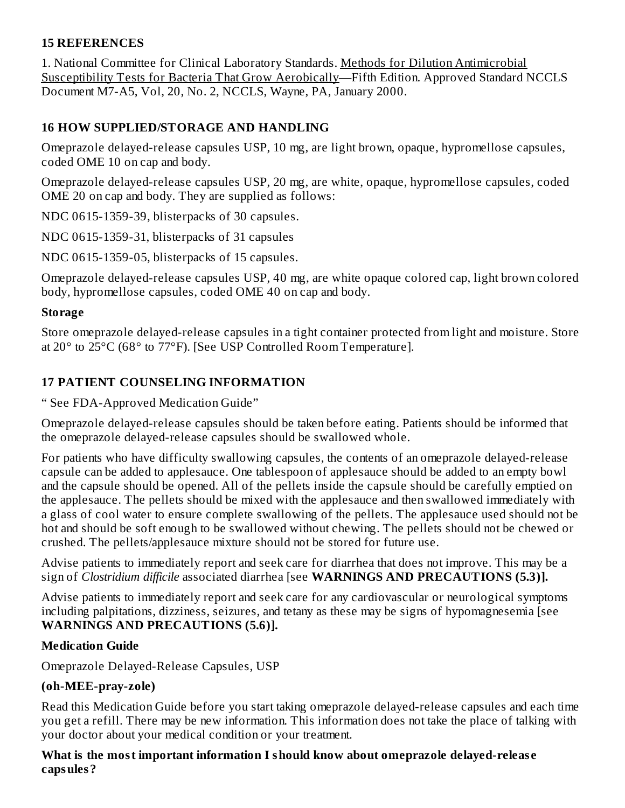#### **15 REFERENCES**

1. National Committee for Clinical Laboratory Standards. Methods for Dilution Antimicrobial Susceptibility Tests for Bacteria That Grow Aerobically—Fifth Edition. Approved Standard NCCLS Document M7-A5, Vol, 20, No. 2, NCCLS, Wayne, PA, January 2000.

#### **16 HOW SUPPLIED/STORAGE AND HANDLING**

Omeprazole delayed-release capsules USP, 10 mg, are light brown, opaque, hypromellose capsules, coded OME 10 on cap and body.

Omeprazole delayed-release capsules USP, 20 mg, are white, opaque, hypromellose capsules, coded OME 20 on cap and body. They are supplied as follows:

NDC 0615-1359-39, blisterpacks of 30 capsules.

NDC 0615-1359-31, blisterpacks of 31 capsules

NDC 0615-1359-05, blisterpacks of 15 capsules.

Omeprazole delayed-release capsules USP, 40 mg, are white opaque colored cap, light brown colored body, hypromellose capsules, coded OME 40 on cap and body.

#### **Storage**

Store omeprazole delayed-release capsules in a tight container protected from light and moisture. Store at 20° to 25°C (68° to 77°F). [See USP Controlled Room Temperature].

#### **17 PATIENT COUNSELING INFORMATION**

#### " See FDA-Approved Medication Guide"

Omeprazole delayed-release capsules should be taken before eating. Patients should be informed that the omeprazole delayed-release capsules should be swallowed whole.

For patients who have difficulty swallowing capsules, the contents of an omeprazole delayed-release capsule can be added to applesauce. One tablespoon of applesauce should be added to an empty bowl and the capsule should be opened. All of the pellets inside the capsule should be carefully emptied on the applesauce. The pellets should be mixed with the applesauce and then swallowed immediately with a glass of cool water to ensure complete swallowing of the pellets. The applesauce used should not be hot and should be soft enough to be swallowed without chewing. The pellets should not be chewed or crushed. The pellets/applesauce mixture should not be stored for future use.

Advise patients to immediately report and seek care for diarrhea that does not improve. This may be a sign of *Clostridium difficile* associated diarrhea [see **WARNINGS AND PRECAUTIONS (5.3)].**

Advise patients to immediately report and seek care for any cardiovascular or neurological symptoms including palpitations, dizziness, seizures, and tetany as these may be signs of hypomagnesemia [see **WARNINGS AND PRECAUTIONS (5.6)].**

#### **Medication Guide**

Omeprazole Delayed-Release Capsules, USP

#### **(oh-MEE-pray-zole)**

Read this Medication Guide before you start taking omeprazole delayed-release capsules and each time you get a refill. There may be new information. This information does not take the place of talking with your doctor about your medical condition or your treatment.

#### **What is the most important information I should know about omeprazole delayed-releas e capsules?**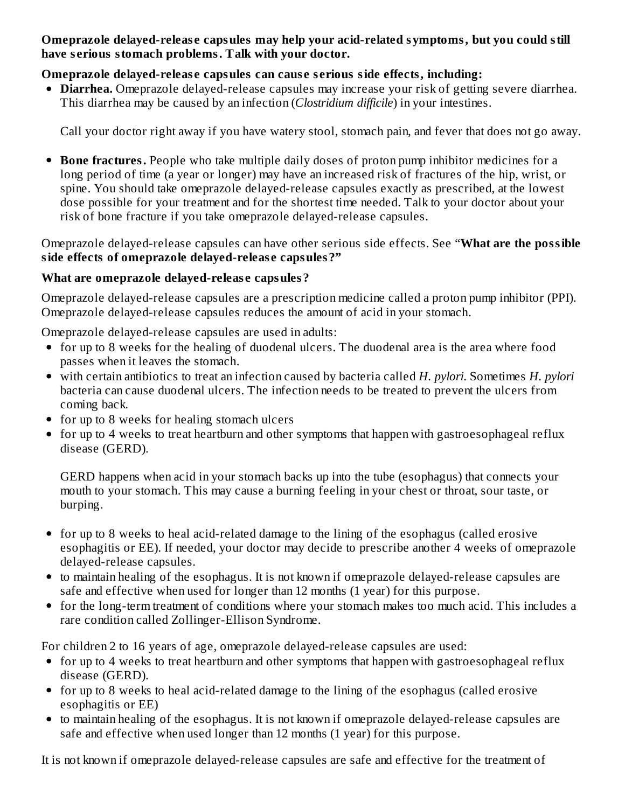#### **Omeprazole delayed-releas e capsules may help your acid-related symptoms, but you could still have s erious stomach problems. Talk with your doctor.**

#### **Omeprazole delayed-releas e capsules can caus e s erious side effects, including:**

**Diarrhea.** Omeprazole delayed-release capsules may increase your risk of getting severe diarrhea. This diarrhea may be caused by an infection (*Clostridium difficile*) in your intestines.

Call your doctor right away if you have watery stool, stomach pain, and fever that does not go away.

**Bone fractures.** People who take multiple daily doses of proton pump inhibitor medicines for a long period of time (a year or longer) may have an increased risk of fractures of the hip, wrist, or spine. You should take omeprazole delayed-release capsules exactly as prescribed, at the lowest dose possible for your treatment and for the shortest time needed. Talk to your doctor about your risk of bone fracture if you take omeprazole delayed-release capsules.

Omeprazole delayed-release capsules can have other serious side effects. See "**What are the possible side effects of omeprazole delayed-releas e capsules?"**

#### **What are omeprazole delayed-releas e capsules?**

Omeprazole delayed-release capsules are a prescription medicine called a proton pump inhibitor (PPI). Omeprazole delayed-release capsules reduces the amount of acid in your stomach.

Omeprazole delayed-release capsules are used in adults:

- for up to 8 weeks for the healing of duodenal ulcers. The duodenal area is the area where food passes when it leaves the stomach.
- with certain antibiotics to treat an infection caused by bacteria called *H. pylori*. Sometimes *H. pylori* bacteria can cause duodenal ulcers. The infection needs to be treated to prevent the ulcers from coming back.
- for up to 8 weeks for healing stomach ulcers
- for up to 4 weeks to treat heartburn and other symptoms that happen with gastroesophageal reflux disease (GERD).

GERD happens when acid in your stomach backs up into the tube (esophagus) that connects your mouth to your stomach. This may cause a burning feeling in your chest or throat, sour taste, or burping.

- for up to 8 weeks to heal acid-related damage to the lining of the esophagus (called erosive esophagitis or EE). If needed, your doctor may decide to prescribe another 4 weeks of omeprazole delayed-release capsules.
- to maintain healing of the esophagus. It is not known if omeprazole delayed-release capsules are safe and effective when used for longer than 12 months (1 year) for this purpose.
- for the long-term treatment of conditions where your stomach makes too much acid. This includes a rare condition called Zollinger-Ellison Syndrome.

For children 2 to 16 years of age, omeprazole delayed-release capsules are used:

- for up to 4 weeks to treat heartburn and other symptoms that happen with gastroesophageal reflux disease (GERD).
- for up to 8 weeks to heal acid-related damage to the lining of the esophagus (called erosive esophagitis or EE)
- to maintain healing of the esophagus. It is not known if omeprazole delayed-release capsules are safe and effective when used longer than 12 months (1 year) for this purpose.

It is not known if omeprazole delayed-release capsules are safe and effective for the treatment of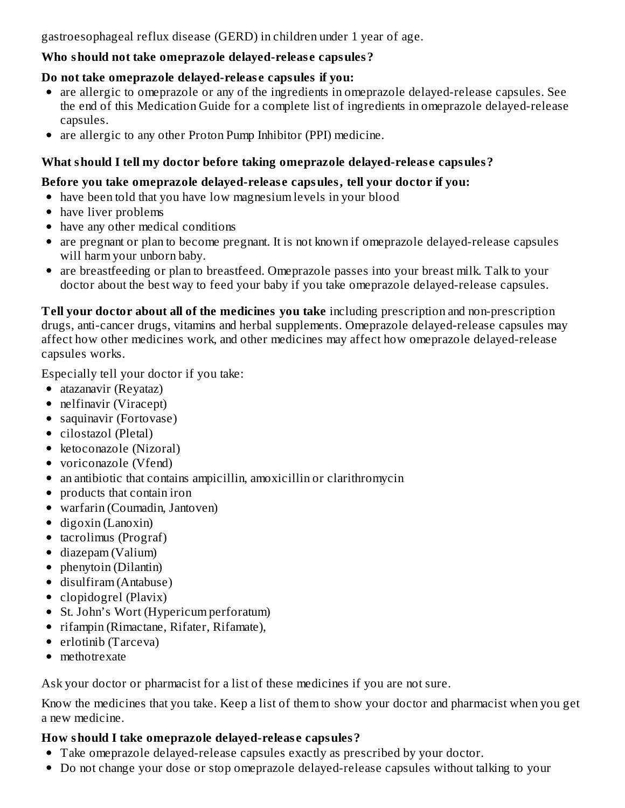gastroesophageal reflux disease (GERD) in children under 1 year of age.

#### **Who should not take omeprazole delayed-releas e capsules?**

#### **Do not take omeprazole delayed-releas e capsules if you:**

- are allergic to omeprazole or any of the ingredients in omeprazole delayed-release capsules. See the end of this Medication Guide for a complete list of ingredients in omeprazole delayed-release capsules.
- are allergic to any other Proton Pump Inhibitor (PPI) medicine.

# **What should I tell my doctor before taking omeprazole delayed-releas e capsules?**

#### **Before you take omeprazole delayed-releas e capsules, tell your doctor if you:**

- have been told that you have low magnesium levels in your blood
- have liver problems
- have any other medical conditions
- are pregnant or plan to become pregnant. It is not known if omeprazole delayed-release capsules will harm your unborn baby.
- are breastfeeding or plan to breastfeed. Omeprazole passes into your breast milk. Talk to your doctor about the best way to feed your baby if you take omeprazole delayed-release capsules.

**Tell your doctor about all of the medicines you take** including prescription and non-prescription drugs, anti-cancer drugs, vitamins and herbal supplements. Omeprazole delayed-release capsules may affect how other medicines work, and other medicines may affect how omeprazole delayed-release capsules works.

Especially tell your doctor if you take:

- atazanavir (Reyataz)
- nelfinavir (Viracept)
- saquinavir (Fortovase)
- cilostazol (Pletal)
- ketoconazole (Nizoral)
- voriconazole (Vfend)
- an antibiotic that contains ampicillin, amoxicillin or clarithromycin
- products that contain iron
- warfarin (Coumadin, Jantoven)
- $\bullet$  digoxin (Lanoxin)
- tacrolimus (Prograf)
- diazepam (Valium)
- phenytoin (Dilantin)
- disulfiram (Antabuse)
- clopidogrel (Plavix)
- St. John's Wort (Hypericum perforatum)
- rifampin (Rimactane, Rifater, Rifamate),
- erlotinib (Tarceva)
- methotrexate

Ask your doctor or pharmacist for a list of these medicines if you are not sure.

Know the medicines that you take. Keep a list of them to show your doctor and pharmacist when you get a new medicine.

## **How should I take omeprazole delayed-releas e capsules?**

- Take omeprazole delayed-release capsules exactly as prescribed by your doctor.
- Do not change your dose or stop omeprazole delayed-release capsules without talking to your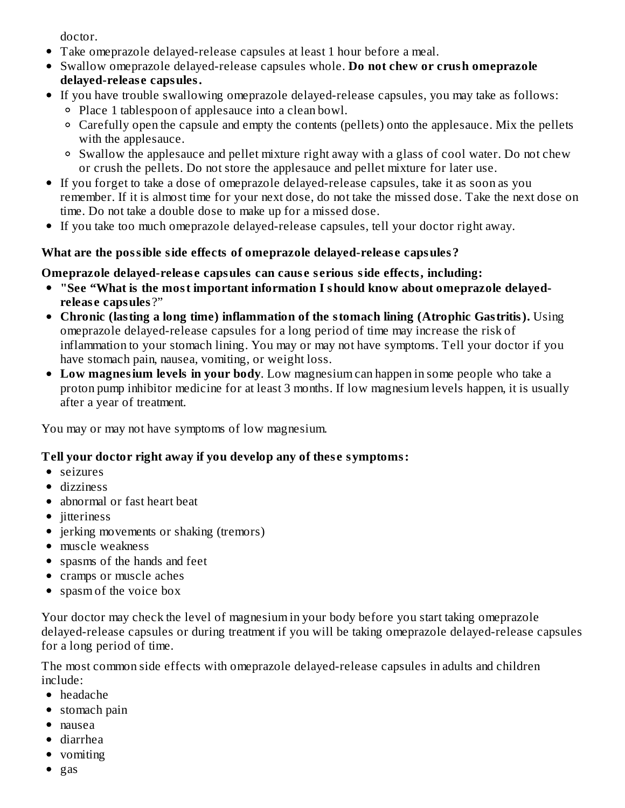doctor.

- Take omeprazole delayed-release capsules at least 1 hour before a meal.
- Swallow omeprazole delayed-release capsules whole. **Do not chew or crush omeprazole delayed-releas e capsules.**
- If you have trouble swallowing omeprazole delayed-release capsules, you may take as follows:
	- Place 1 tablespoon of applesauce into a clean bowl.
	- Carefully open the capsule and empty the contents (pellets) onto the applesauce. Mix the pellets with the applesauce.
	- Swallow the applesauce and pellet mixture right away with a glass of cool water. Do not chew or crush the pellets. Do not store the applesauce and pellet mixture for later use.
- If you forget to take a dose of omeprazole delayed-release capsules, take it as soon as you remember. If it is almost time for your next dose, do not take the missed dose. Take the next dose on time. Do not take a double dose to make up for a missed dose.
- If you take too much omeprazole delayed-release capsules, tell your doctor right away.

# **What are the possible side effects of omeprazole delayed-releas e capsules?**

# **Omeprazole delayed-releas e capsules can caus e s erious side effects, including:**

- **"See "What is the most important information I should know about omeprazole delayedreleas e capsules** ?"
- **Chronic (lasting a long time) inflammation of the stomach lining (Atrophic Gastritis).** Using omeprazole delayed-release capsules for a long period of time may increase the risk of inflammation to your stomach lining. You may or may not have symptoms. Tell your doctor if you have stomach pain, nausea, vomiting, or weight loss.
- **Low magnesium levels in your body**. Low magnesium can happen in some people who take a proton pump inhibitor medicine for at least 3 months. If low magnesium levels happen, it is usually after a year of treatment.

You may or may not have symptoms of low magnesium.

# **Tell your doctor right away if you develop any of thes e symptoms:**

- seizures
- dizziness
- abnormal or fast heart beat
- jitteriness
- jerking movements or shaking (tremors)
- muscle weakness
- spasms of the hands and feet
- cramps or muscle aches
- spasm of the voice box

Your doctor may check the level of magnesium in your body before you start taking omeprazole delayed-release capsules or during treatment if you will be taking omeprazole delayed-release capsules for a long period of time.

The most common side effects with omeprazole delayed-release capsules in adults and children include:

- headache
- stomach pain
- nausea
- diarrhea
- vomiting
- $\bullet$  gas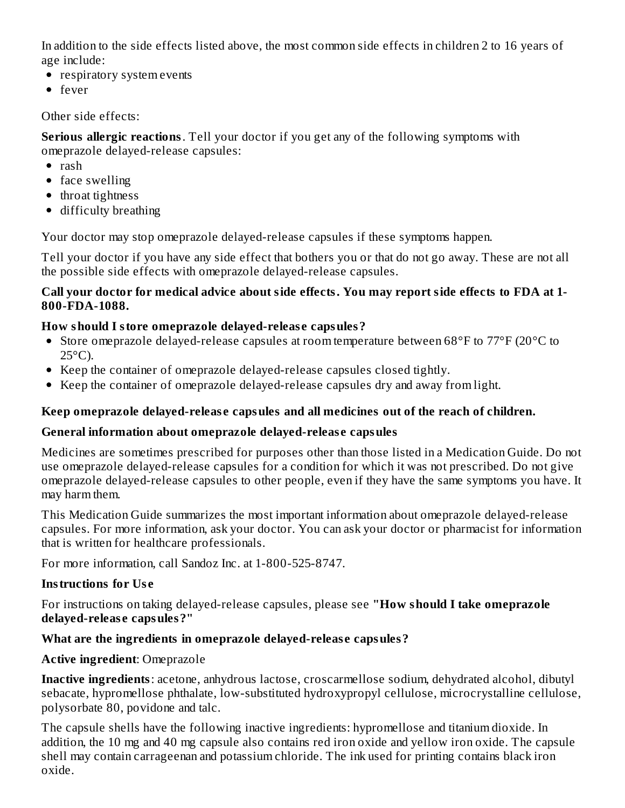In addition to the side effects listed above, the most common side effects in children 2 to 16 years of age include:

- respiratory system events
- fever

Other side effects:

**Serious allergic reactions**. Tell your doctor if you get any of the following symptoms with omeprazole delayed-release capsules:

- $\bullet$  rash
- face swelling
- throat tightness
- difficulty breathing

Your doctor may stop omeprazole delayed-release capsules if these symptoms happen.

Tell your doctor if you have any side effect that bothers you or that do not go away. These are not all the possible side effects with omeprazole delayed-release capsules.

#### **Call your doctor for medical advice about side effects. You may report side effects to FDA at 1- 800-FDA-1088.**

## **How should I store omeprazole delayed-releas e capsules?**

- Store omeprazole delayed-release capsules at room temperature between 68°F to 77°F (20°C to  $25^{\circ}$ C).
- Keep the container of omeprazole delayed-release capsules closed tightly.
- Keep the container of omeprazole delayed-release capsules dry and away from light.

## **Keep omeprazole delayed-releas e capsules and all medicines out of the reach of children.**

## **General information about omeprazole delayed-releas e capsules**

Medicines are sometimes prescribed for purposes other than those listed in a Medication Guide. Do not use omeprazole delayed-release capsules for a condition for which it was not prescribed. Do not give omeprazole delayed-release capsules to other people, even if they have the same symptoms you have. It may harm them.

This Medication Guide summarizes the most important information about omeprazole delayed-release capsules. For more information, ask your doctor. You can ask your doctor or pharmacist for information that is written for healthcare professionals.

For more information, call Sandoz Inc. at 1-800-525-8747.

## **Instructions for Us e**

For instructions on taking delayed-release capsules, please see **"How should I take omeprazole delayed-releas e capsules?"**

## **What are the ingredients in omeprazole delayed-releas e capsules?**

## **Active ingredient**: Omeprazole

**Inactive ingredients**: acetone, anhydrous lactose, croscarmellose sodium, dehydrated alcohol, dibutyl sebacate, hypromellose phthalate, low-substituted hydroxypropyl cellulose, microcrystalline cellulose, polysorbate 80, povidone and talc.

The capsule shells have the following inactive ingredients: hypromellose and titanium dioxide. In addition, the 10 mg and 40 mg capsule also contains red iron oxide and yellow iron oxide. The capsule shell may contain carrageenan and potassium chloride. The ink used for printing contains black iron oxide.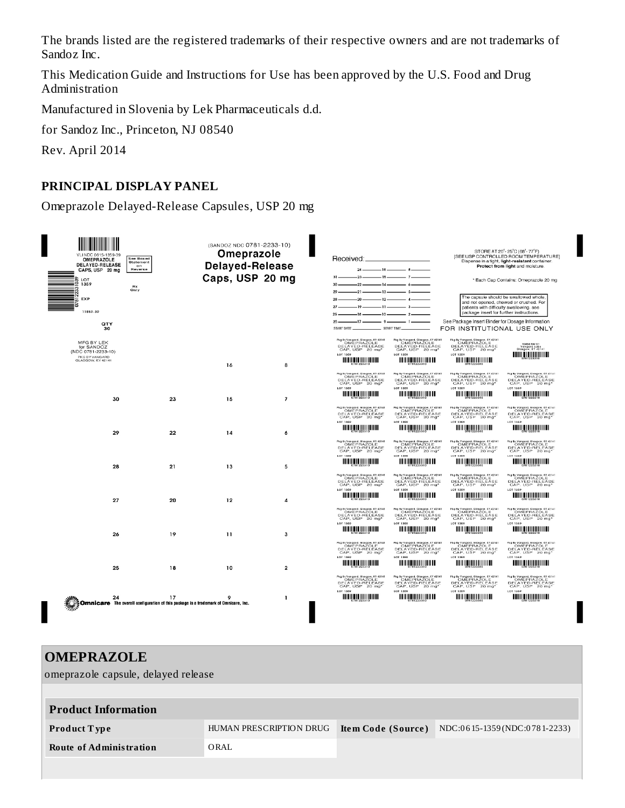The brands listed are the registered trademarks of their respective owners and are not trademarks of Sandoz Inc.

This Medication Guide and Instructions for Use has been approved by the U.S. Food and Drug Administration

Manufactured in Slovenia by Lek Pharmaceuticals d.d.

for Sandoz Inc., Princeton, NJ 08540

Rev. April 2014

#### **PRINCIPAL DISPLAY PANEL**

Omeprazole Delayed-Release Capsules, USP 20 mg

| VLI NDC 0615-1359-39<br>OMEPRAZOLE<br><b>DELAYED-RELEASE</b><br>CAPS, USP 20 mg<br>LOT<br>1359<br>$\overline{50}$ EXP | See Boxed<br>Statement<br>on<br>Reverse<br><b>Rx</b><br>Only | (SANDOZ NDC 0781-2233-10)<br>Omeprazole<br><b>Delayed-Release</b><br>Caps, USP 20 mg |                         | Received:<br>$-16$ —<br>$24-$<br>$-23-$<br>$-15-$<br>$31 -$<br>$22 -$<br>$-14-$<br>$-21-$<br>$-13-$<br>$29 -$<br>$-20-$<br>$-12-$<br>$28 -$<br>$-19-$<br>$-11-$<br>$27 -$ | $-8$<br>$\Lambda$<br>$-3.$                                                                                                                   | patients with difficulty swallowing, see                                                                                                       | STORE AT 20°-25°C (68°-77°F)<br>ISEE USP CONTROLLED ROOM TEMPERATUREI<br>Dispense in a tight, light-resistant container.<br>Protect from light and moisture.<br>* Each Cap Contains: Omeprazole 20 mg<br>The capsule should be swallowed whole,<br>and not opened, chewed or crushed. For                                                                                                                              |
|-----------------------------------------------------------------------------------------------------------------------|--------------------------------------------------------------|--------------------------------------------------------------------------------------|-------------------------|---------------------------------------------------------------------------------------------------------------------------------------------------------------------------|----------------------------------------------------------------------------------------------------------------------------------------------|------------------------------------------------------------------------------------------------------------------------------------------------|------------------------------------------------------------------------------------------------------------------------------------------------------------------------------------------------------------------------------------------------------------------------------------------------------------------------------------------------------------------------------------------------------------------------|
| 11859-39                                                                                                              |                                                              |                                                                                      |                         | 26<br>$-18-$<br>$-10-$                                                                                                                                                    | $-2$                                                                                                                                         | package insert for further instructions.                                                                                                       |                                                                                                                                                                                                                                                                                                                                                                                                                        |
| QTY<br>30                                                                                                             |                                                              |                                                                                      |                         | $-17-$<br>- 9-<br>$25 -$<br>START DATE                                                                                                                                    | - 1-<br>START TIME                                                                                                                           | See Package Insert Binder for Dosage Information<br>FOR INSTITUTIONAL USE ONLY                                                                 |                                                                                                                                                                                                                                                                                                                                                                                                                        |
| MFG BY LEK<br>for SANDOZ<br>(NDC 0781-2233-10)<br>PKG BY VANGARD<br>GLASGOW, KY 42141                                 |                                                              |                                                                                      |                         | Pkg By Vangard, Glasgow, KY 42141<br>OMEPRAZOLE<br>DELAYED-RELEASE<br>CAP, USP 20 mg*<br><b>LOT 1359</b>                                                                  | Pkg By Vangard, Glasgow, KY 42141<br>OMEPRAZOLE<br>DELAYED-RELEASE<br>CAP, USP 20 mg'<br><b>LOT 1359</b>                                     | Pkg By Vangard, Glasgow, KY 42141<br>OMEPRAZOLE<br>DELAYED-RELEASE<br>CAP, USP 20 mg<br><b>LOT 1359</b><br><b><i>MONTH REPORT OF LARGE</i></b> | 10454 Rev 01<br>Vangard Labs<br>Glasgow, KY 42141<br>$\prod_{s=1}^{n} \prod_{s=2}^{n} \prod_{s=1}^{n} \prod_{s=1}^{n} \prod_{s=1}^{n} \prod_{s=1}^{n} \prod_{s=1}^{n} \prod_{s=1}^{n} \prod_{s=1}^{n} \prod_{s=1}^{n} \prod_{s=1}^{n} \prod_{s=1}^{n} \prod_{s=1}^{n} \prod_{s=1}^{n} \prod_{s=1}^{n} \prod_{s=1}^{n} \prod_{s=1}^{n} \prod_{s=1}^{n} \prod_{s=1}^{n} \prod_{s=1}^{n} \prod_{s=1}^{n} \prod_{s=1}^{n}$ |
|                                                                                                                       |                                                              | 16                                                                                   | 8                       | Pkg By Vangard, Glasgow, KY 42141<br>OMEPRAZOLE                                                                                                                           | Pkg by Vangard, Glasgow, KY 42141<br>OMEPRAZOLE                                                                                              | Pkg By Vangard, Glasgow, KY 42141<br>OMEPRAZOLE                                                                                                | Pkg by Vangard, Glasgow, KY 42141<br>OMEPRAZOLE                                                                                                                                                                                                                                                                                                                                                                        |
|                                                                                                                       |                                                              |                                                                                      |                         | DELAYED-RELEASE<br>CAP, USP 20 mg*<br>LOT 1359                                                                                                                            | DELAYED-RELEASE<br>CAP, USP 20 mg*<br>LOT 1359                                                                                               | DELAYED-RELEASE<br>CAP, USP 20 mg*<br>LOT 1359                                                                                                 | DELAYED-RELEASE<br>CAP, USP 20 mg*<br><b>LOT 1359</b>                                                                                                                                                                                                                                                                                                                                                                  |
| 30                                                                                                                    | 23                                                           | 15                                                                                   | $\overline{z}$          | $\blacksquare$                                                                                                                                                            | <u>mniitiifiifiifiin m</u>                                                                                                                   | <b>TELL IV, J. J. J. J. J. VIII DIE</b>                                                                                                        | <u>UTILIÄÄÄÄÄÄÄÄÄ</u>                                                                                                                                                                                                                                                                                                                                                                                                  |
|                                                                                                                       |                                                              |                                                                                      |                         | Pkg By Vangard, Glasgow, KY 42141<br>OMEPRAZOLE<br>DELAYED-RELEASE<br>CAP, USP 20 mg*<br>107,1359                                                                         | Pkg by Vangard, Glasgow, KY 42141<br>OMEPRAZOLE<br>DELAYED-RELEASE<br>CAP, USP 20 mg*<br><b>LOT 1359</b>                                     | Pkg By Vongord, Glosgow, KY 42141<br>OMEPRAZOLE<br>DELAYED-RELEASE<br>CAP, USP<br>20 mg<br><b>LOT 1359</b>                                     | Pkg By Vangard, Glasgow, KY 42141<br>OMEPRAZOLE<br>DELAYED-RELEASE<br>CAP, USP 20 mg*<br><b>LOT 1359</b>                                                                                                                                                                                                                                                                                                               |
| 29                                                                                                                    | 22                                                           | 14                                                                                   | 6                       |                                                                                                                                                                           | <u> 11   11   11   11   11   11   11</u>                                                                                                     | <u> Hill III (111   111   111   111   111   111   111   111   111   111   111   111   111   111   111   111   111 </u>                         |                                                                                                                                                                                                                                                                                                                                                                                                                        |
|                                                                                                                       |                                                              |                                                                                      |                         | Pkg By Vangard, Glasgow, KY 42141<br>OMEPRAZOLE<br>DELAYED-RELEASE<br>CAP, USP 20 mg*<br>LOT 1359                                                                         | Pkg by Vangard, Glasgow, KY 42141<br>OMEPRAZOLE<br>DELAYED-RELEASE<br>CAP, USP 20 mg*<br>LOT 1359                                            | Pkg By Vangard, Glasgow, KY 42141<br>OMEPRAZOLE<br>DELAYED-RELEASE<br>CAP, USP 20 mg*<br>LOT 1359                                              | Pkg by Vangard, Glasgow, KY 42141<br>OMEPRAZOLE<br>DELAYED-RELEASE<br>CAP, USP 20 mg*<br>LOT 1359                                                                                                                                                                                                                                                                                                                      |
| 28                                                                                                                    | 21                                                           | 13                                                                                   | 5                       | <u> HEINING DEN HEININ</u>                                                                                                                                                | <u> HEILIN DUN EN DE HEI</u>                                                                                                                 | <b></b>                                                                                                                                        | <b>HERRICH AND AN</b>                                                                                                                                                                                                                                                                                                                                                                                                  |
|                                                                                                                       |                                                              |                                                                                      |                         | Pkg By Vangard, Glasgow, KY 42141<br>OMEPRAZOLE<br>DELAYED-RELEASE<br>CAP, USP 20 mg*<br>LOT 1359                                                                         | Pkg By Vangard, Glasgow, KY 42141<br>CMEPRAZOLE<br>DELAYED-RELEASE<br>CAP, USP 20 mg*<br>LOT 1359<br><u> HEILING SEN HEILING SEN IN DIE </u> | Pkg By Vangard, Glasgow, KY 42141<br>OMEPRAZOLE<br>DELAYED-RELEASE<br>CAP, USP 20 mg*<br>LOT 1359                                              | Pkg By Vangard, Glasgow, KY 42141<br>CMEPRAZOLE<br>DELAYED-RELEASE<br>CAP, USP 20 mg*<br>LOT 1359                                                                                                                                                                                                                                                                                                                      |
| 27                                                                                                                    | 20                                                           | 12                                                                                   | 4                       | $\prod_{i=1}^n \prod_{i=1}^n \prod_{i=1}^n \prod_{i=1}^n \prod_{i=1}^n$                                                                                                   |                                                                                                                                              | $III II$ $III II II II II II$                                                                                                                  | $\prod_{i=1}^n \prod_{j=1}^n \prod_{j=1}^n \prod_{j=1}^n \prod_{j=1}^n$                                                                                                                                                                                                                                                                                                                                                |
|                                                                                                                       |                                                              |                                                                                      |                         | Pkg By Vangard, Glasgow, KY 42141<br>OMEPRAZOLE<br>DELAYED-RELEASE<br>CAP, USP 20 mg*<br>LOT 1359                                                                         | Pkg by Vangard, Glasgow, KY 42141<br>OMEPRAZOLE<br>DELAYED-RELEASE<br>LOT 1359                                                               | Pkg By Vangard, Glasgow, KY 42141<br>OMEPRAZOLE<br>DELAYED-RELEASE<br>LOT 1359                                                                 | Pkg by Vangard, Glasgow, KY 42141<br>OMEPRAZOLE<br>DELAYED-RELEASE<br>CAP, USP 20 mg*<br><b>LOT 1359</b>                                                                                                                                                                                                                                                                                                               |
| 26                                                                                                                    | 19                                                           | 11                                                                                   | 3                       | $\prod_{1\leq i \leq n} \prod_{2\leq i \leq n} \prod_{2\leq i \leq n} \prod_{i=1}^n \prod_{i=1}^n \prod_{i=1}^n$                                                          | <u>monitori in in</u>                                                                                                                        | <b>TELLUM PRODUCTION DE</b>                                                                                                                    | $\prod_{i=1}^n \prod_{j=1}^n \prod_{j=1}^n \prod_{j=1}^n \prod_{j=1}^n \prod_{j=1}^n$                                                                                                                                                                                                                                                                                                                                  |
|                                                                                                                       |                                                              |                                                                                      |                         | Pkg By Vangard, Glasgow, KY 42141<br>OMEPRAZOLE<br>DELAYED-RELEASE<br>CAP, USP 20 mg*<br><b>LOT 1359</b>                                                                  | Pkg By Vangard, Glasgow, KY 42141<br>OMEPRAZOLE<br>DELAYED-RELEASE<br>CAP, USP<br>20 mg<br><b>LOT 1359</b>                                   | Pkg By Vangard, Glasgow, KY 42141<br>OMEPRAZOLE<br>DELAYED-RELEASE<br>CAP, USP<br>$20$ mg<br><b>LOT 1359</b>                                   | Pkg By Vangard, Glasgow, KY 42141<br>OMEPRAZOLE<br>DELAYED-RELEASE<br>CAP, USP 20 mg*<br><b>LOT 1359</b>                                                                                                                                                                                                                                                                                                               |
| 25                                                                                                                    | 18                                                           | 10                                                                                   | $\overline{\mathbf{2}}$ | <b>THE REAL PROPERTY OF THE REAL</b>                                                                                                                                      | OTITUQQAQQQQQTITIN                                                                                                                           | $\blacksquare$                                                                                                                                 | <b>TETTINI, PARAGELLA TETTI</b>                                                                                                                                                                                                                                                                                                                                                                                        |
|                                                                                                                       |                                                              |                                                                                      |                         | Pkg By Vangerd, Glesgow, KY 42141<br>OMEPRAZOLE<br>DELAYED-RELEASE<br>CAP, USP 20 mg*<br>LOT 1359                                                                         | Pkg by Vangard, Glasgow, KY 42141<br>OMEPRAZOLE<br>DELAYED-RELEASE<br>CAP, USP 20 mg'<br><b>LOT 1359</b>                                     | Pkg By Vangard, Glasgow, KY 42141<br>OMEPBAZOLE<br>DELAYED-RELEASE<br>CAP, USP 20 mg*<br><b>LOT 1359</b>                                       | Pkg by Vangard, Glasgow, KY 42141<br>OMEPRAZOLE<br>DELAYED-RELEASE<br>CAP, USP 20 mg*<br>LOT 1359                                                                                                                                                                                                                                                                                                                      |
| a 17<br><b>Omnicare</b> The overall configuration of this package is a trademark of Omnicare, Inc.<br>Mix             |                                                              |                                                                                      | -1                      | <u> HEILIN QUULUU HE</u>                                                                                                                                                  | <u> AN AN AN DIN AN AN AN DIA 1999 AN DIA 1999 AN DIA 1999 AN DIA 1999 AN DIA 1999 AN DIA 1999 AN DIA 1999 AN DIA</u>                        | <b>TELLUM DE POLITIQUE DE</b>                                                                                                                  | <u>UTILIQQIQQQQQITIDI</u>                                                                                                                                                                                                                                                                                                                                                                                              |
|                                                                                                                       |                                                              |                                                                                      |                         |                                                                                                                                                                           |                                                                                                                                              |                                                                                                                                                |                                                                                                                                                                                                                                                                                                                                                                                                                        |

#### **OMEPRAZOLE**

omeprazole capsule, delayed release

| <b>Product Information</b> |                         |                    |                                |
|----------------------------|-------------------------|--------------------|--------------------------------|
| <b>Product Type</b>        | HUMAN PRESCRIPTION DRUG | Item Code (Source) | $NDC:0615-1359(NDC:0781-2233)$ |
| Route of Administration    | ORAL                    |                    |                                |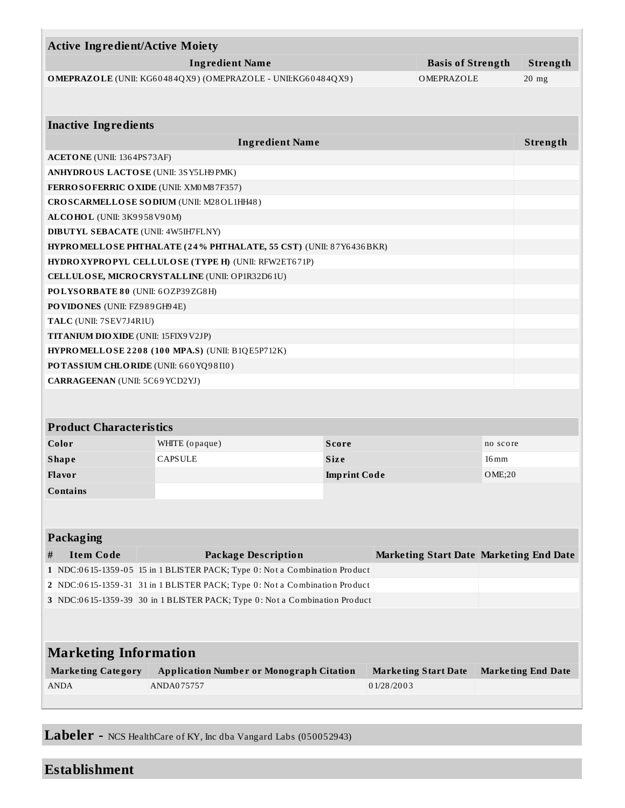| <b>Active Ingredient/Active Moiety</b>                                                                                                                   |                                                                            |                     |                                                |                    |                           |
|----------------------------------------------------------------------------------------------------------------------------------------------------------|----------------------------------------------------------------------------|---------------------|------------------------------------------------|--------------------|---------------------------|
| <b>Ingredient Name</b><br><b>Basis of Strength</b>                                                                                                       |                                                                            |                     |                                                |                    | Strength                  |
|                                                                                                                                                          | OMEPRAZOLE (UNII: KG60484QX9) (OMEPRAZOLE - UNII:KG60484QX9)               |                     | OMEPRAZOLE                                     |                    | $20$ mg                   |
|                                                                                                                                                          |                                                                            |                     |                                                |                    |                           |
| <b>Inactive Ingredients</b>                                                                                                                              |                                                                            |                     |                                                |                    |                           |
|                                                                                                                                                          | <b>Ingredient Name</b>                                                     |                     |                                                |                    | Strength                  |
| <b>ACETONE</b> (UNII: 1364PS73AF)                                                                                                                        |                                                                            |                     |                                                |                    |                           |
|                                                                                                                                                          | ANHYDROUS LACTOSE (UNII: 3SY5LH9PMK)                                       |                     |                                                |                    |                           |
|                                                                                                                                                          | <b>FERROSOFERRIC OXIDE (UNII: XM0M87F357)</b>                              |                     |                                                |                    |                           |
|                                                                                                                                                          | CROSCARMELLOSE SODIUM (UNII: M28OL1HH48)                                   |                     |                                                |                    |                           |
| ALCOHOL (UNII: 3K9958V90M)                                                                                                                               |                                                                            |                     |                                                |                    |                           |
| <b>DIBUTYL SEBACATE (UNII: 4W5IH7FLNY)</b>                                                                                                               |                                                                            |                     |                                                |                    |                           |
|                                                                                                                                                          | HYPROMELLOSE PHTHALATE (24% PHTHALATE, 55 CST) (UNII: 87Y6436BKR)          |                     |                                                |                    |                           |
|                                                                                                                                                          | HYDROXYPROPYL CELLULOSE (TYPE H) (UNII: RFW2ET671P)                        |                     |                                                |                    |                           |
|                                                                                                                                                          | CELLULOSE, MICRO CRYSTALLINE (UNII: OP1R32D61U)                            |                     |                                                |                    |                           |
| POLYSORBATE 80 (UNII: 6OZP39ZG8H)                                                                                                                        |                                                                            |                     |                                                |                    |                           |
| PO VIDONES (UNII: FZ989GH94E)                                                                                                                            |                                                                            |                     |                                                |                    |                           |
| TALC (UNII: 7SEV7J4R1U)                                                                                                                                  |                                                                            |                     |                                                |                    |                           |
| <b>TITANIUM DIO XIDE (UNII: 15FIX9 V2JP)</b>                                                                                                             |                                                                            |                     |                                                |                    |                           |
|                                                                                                                                                          | HYPROMELLOSE 2208 (100 MPA.S) (UNII: B1QE5P712K)                           |                     |                                                |                    |                           |
|                                                                                                                                                          | POTASSIUM CHLORIDE (UNII: 660YQ98I10)                                      |                     |                                                |                    |                           |
| CARRAGEENAN (UNII: 5C69 YCD2YJ)                                                                                                                          |                                                                            |                     |                                                |                    |                           |
|                                                                                                                                                          |                                                                            |                     |                                                |                    |                           |
| <b>Product Characteristics</b>                                                                                                                           |                                                                            |                     |                                                |                    |                           |
| Color                                                                                                                                                    |                                                                            | <b>Score</b>        |                                                |                    |                           |
|                                                                                                                                                          | WHITE (opaque)                                                             |                     |                                                | no score           |                           |
| <b>Shape</b>                                                                                                                                             | <b>CAPSULE</b>                                                             | <b>Size</b>         |                                                | $16 \,\mathrm{mm}$ |                           |
| <b>Flavor</b>                                                                                                                                            |                                                                            | <b>Imprint Code</b> |                                                | OME;20             |                           |
| Contains                                                                                                                                                 |                                                                            |                     |                                                |                    |                           |
|                                                                                                                                                          |                                                                            |                     |                                                |                    |                           |
| Packaging                                                                                                                                                |                                                                            |                     |                                                |                    |                           |
|                                                                                                                                                          |                                                                            |                     |                                                |                    |                           |
| <b>Item Code</b><br>#                                                                                                                                    | <b>Package Description</b>                                                 |                     | <b>Marketing Start Date Marketing End Date</b> |                    |                           |
|                                                                                                                                                          | 1 NDC:0615-1359-05 15 in 1 BLISTER PACK; Type 0: Not a Combination Product |                     |                                                |                    |                           |
| 2 NDC:0615-1359-31 31 in 1 BLISTER PACK; Type 0: Not a Combination Product<br>3 NDC:0615-1359-39 30 in 1 BLISTER PACK; Type 0: Not a Combination Product |                                                                            |                     |                                                |                    |                           |
|                                                                                                                                                          |                                                                            |                     |                                                |                    |                           |
|                                                                                                                                                          |                                                                            |                     |                                                |                    |                           |
| <b>Marketing Information</b>                                                                                                                             |                                                                            |                     |                                                |                    |                           |
| <b>Marketing Category</b>                                                                                                                                | <b>Application Number or Monograph Citation</b>                            |                     | <b>Marketing Start Date</b>                    |                    | <b>Marketing End Date</b> |
| <b>ANDA</b>                                                                                                                                              | ANDA075757                                                                 |                     | 01/28/2003                                     |                    |                           |
|                                                                                                                                                          |                                                                            |                     |                                                |                    |                           |
|                                                                                                                                                          |                                                                            |                     |                                                |                    |                           |

**Labeler -** NCS HealthCare of KY, Inc dba Vangard Labs (050052943)

# **Establishment**